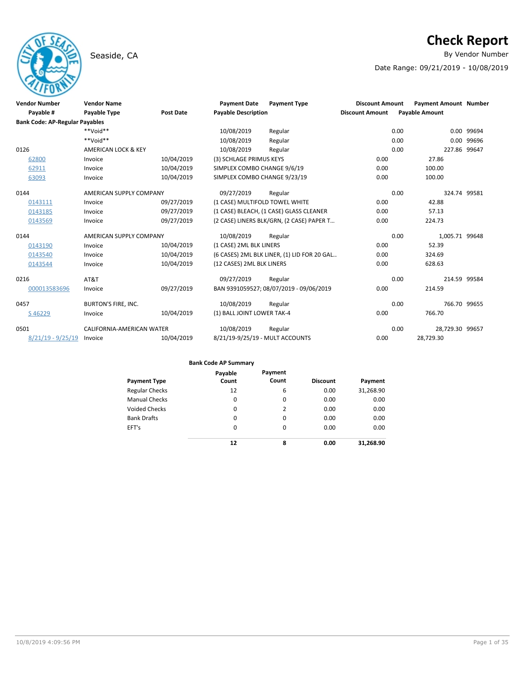# Seaside, CA By Vendor Number and Seaside, CA By Vendor Number and Seaside, CA By Vendor Number and Seaside and S

# **Check Report**

Date Range: 09/21/2019 - 10/08/2019

| <b>Vendor Number</b>                  | <b>Vendor Name</b>         |                  | <b>Payment Date</b>             | <b>Payment Type</b>                         | <b>Discount Amount</b> | <b>Payment Amount Number</b> |            |
|---------------------------------------|----------------------------|------------------|---------------------------------|---------------------------------------------|------------------------|------------------------------|------------|
| Payable #                             | <b>Payable Type</b>        | <b>Post Date</b> | <b>Payable Description</b>      |                                             | <b>Discount Amount</b> | <b>Payable Amount</b>        |            |
| <b>Bank Code: AP-Regular Payables</b> |                            |                  |                                 |                                             |                        |                              |            |
|                                       | $**$ Noid $**$             |                  | 10/08/2019                      | Regular                                     | 0.00                   |                              | 0.00 99694 |
|                                       | **Void**                   |                  | 10/08/2019                      | Regular                                     | 0.00                   | 0.00                         | 99696      |
| 0126                                  | AMERICAN LOCK & KEY        |                  | 10/08/2019                      | Regular                                     | 0.00                   | 227.86 99647                 |            |
| 62800                                 | Invoice                    | 10/04/2019       | (3) SCHLAGE PRIMUS KEYS         |                                             | 0.00                   | 27.86                        |            |
| 62911                                 | Invoice                    | 10/04/2019       | SIMPLEX COMBO CHANGE 9/6/19     |                                             | 0.00                   | 100.00                       |            |
| 63093                                 | Invoice                    | 10/04/2019       | SIMPLEX COMBO CHANGE 9/23/19    |                                             | 0.00                   | 100.00                       |            |
| 0144                                  | AMERICAN SUPPLY COMPANY    |                  | 09/27/2019                      | Regular                                     | 0.00                   | 324.74 99581                 |            |
| 0143111                               | Invoice                    | 09/27/2019       | (1 CASE) MULTIFOLD TOWEL WHITE  |                                             | 0.00                   | 42.88                        |            |
| 0143185                               | Invoice                    | 09/27/2019       |                                 | (1 CASE) BLEACH, (1 CASE) GLASS CLEANER     | 0.00                   | 57.13                        |            |
| 0143569                               | Invoice                    | 09/27/2019       |                                 | (2 CASE) LINERS BLK/GRN, (2 CASE) PAPER T   | 0.00                   | 224.73                       |            |
| 0144                                  | AMERICAN SUPPLY COMPANY    |                  | 10/08/2019                      | Regular                                     | 0.00                   | 1,005.71 99648               |            |
| 0143190                               | Invoice                    | 10/04/2019       | (1 CASE) 2ML BLK LINERS         |                                             | 0.00                   | 52.39                        |            |
| 0143540                               | Invoice                    | 10/04/2019       |                                 | (6 CASES) 2ML BLK LINER, (1) LID FOR 20 GAL | 0.00                   | 324.69                       |            |
| 0143544                               | Invoice                    | 10/04/2019       | (12 CASES) 2ML BLK LINERS       |                                             | 0.00                   | 628.63                       |            |
| 0216                                  | AT&T                       |                  | 09/27/2019                      | Regular                                     | 0.00                   | 214.59 99584                 |            |
| 000013583696                          | Invoice                    | 09/27/2019       |                                 | BAN 9391059527; 08/07/2019 - 09/06/2019     | 0.00                   | 214.59                       |            |
| 0457                                  | <b>BURTON'S FIRE, INC.</b> |                  | 10/08/2019                      | Regular                                     | 0.00                   | 766.70 99655                 |            |
| S46229                                | Invoice                    | 10/04/2019       | (1) BALL JOINT LOWER TAK-4      |                                             | 0.00                   | 766.70                       |            |
| 0501                                  | CALIFORNIA-AMERICAN WATER  |                  | 10/08/2019                      | Regular                                     | 0.00                   | 28,729.30 99657              |            |
| $8/21/19 - 9/25/19$                   | Invoice                    | 10/04/2019       | 8/21/19-9/25/19 - MULT ACCOUNTS |                                             | 0.00                   | 28,729.30                    |            |

| <b>Payment Type</b>   | Payable<br>Count | Payment<br>Count | <b>Discount</b> | Payment   |
|-----------------------|------------------|------------------|-----------------|-----------|
| <b>Regular Checks</b> | 12               | 6                | 0.00            | 31,268.90 |
| <b>Manual Checks</b>  | 0                | 0                | 0.00            | 0.00      |
| <b>Voided Checks</b>  | 0                | 2                | 0.00            | 0.00      |
| <b>Bank Drafts</b>    | 0                | 0                | 0.00            | 0.00      |
| EFT's                 | 0                | $\Omega$         | 0.00            | 0.00      |
|                       | 12               | 8                | 0.00            | 31.268.90 |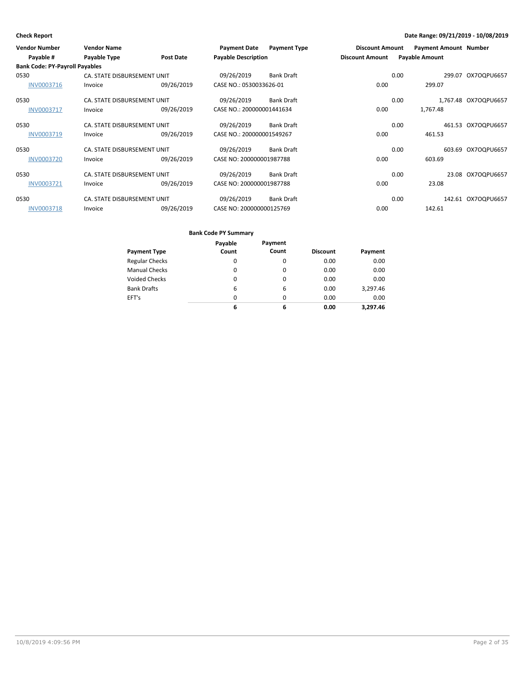| <b>Vendor Number</b><br>Payable #     | <b>Vendor Name</b><br>Payable Type | <b>Post Date</b> | <b>Payment Date</b><br><b>Payable Description</b> | <b>Payment Type</b> | <b>Discount Amount</b><br><b>Discount Amount</b> |      | <b>Payment Amount Number</b><br><b>Payable Amount</b> |                      |
|---------------------------------------|------------------------------------|------------------|---------------------------------------------------|---------------------|--------------------------------------------------|------|-------------------------------------------------------|----------------------|
| <b>Bank Code: PY-Payroll Payables</b> |                                    |                  |                                                   |                     |                                                  |      |                                                       |                      |
| 0530                                  | CA. STATE DISBURSEMENT UNIT        |                  | 09/26/2019                                        | <b>Bank Draft</b>   |                                                  | 0.00 | 299.07                                                | OX7OQPU6657          |
| INV0003716                            | Invoice                            | 09/26/2019       | CASE NO.: 0530033626-01                           |                     | 0.00                                             |      | 299.07                                                |                      |
| 0530                                  | CA. STATE DISBURSEMENT UNIT        |                  | 09/26/2019                                        | <b>Bank Draft</b>   |                                                  | 0.00 |                                                       | 1,767.48 OX7OQPU6657 |
| <b>INV0003717</b>                     | Invoice                            | 09/26/2019       | CASE NO.: 200000001441634                         |                     | 0.00                                             |      | 1,767.48                                              |                      |
| 0530                                  | CA. STATE DISBURSEMENT UNIT        |                  | 09/26/2019                                        | <b>Bank Draft</b>   |                                                  | 0.00 | 461.53                                                | OX7OQPU6657          |
| INV0003719                            | Invoice                            | 09/26/2019       | CASE NO.: 200000001549267                         |                     | 0.00                                             |      | 461.53                                                |                      |
| 0530                                  | CA. STATE DISBURSEMENT UNIT        |                  | 09/26/2019                                        | <b>Bank Draft</b>   |                                                  | 0.00 |                                                       | 603.69 OX7OQPU6657   |
| <b>INV0003720</b>                     | Invoice                            | 09/26/2019       | CASE NO: 200000001987788                          |                     | 0.00                                             |      | 603.69                                                |                      |
| 0530                                  | CA. STATE DISBURSEMENT UNIT        |                  | 09/26/2019                                        | <b>Bank Draft</b>   |                                                  | 0.00 | 23.08                                                 | OX7OQPU6657          |
| <b>INV0003721</b>                     | Invoice                            | 09/26/2019       | CASE NO: 200000001987788                          |                     | 0.00                                             |      | 23.08                                                 |                      |
| 0530                                  | CA. STATE DISBURSEMENT UNIT        |                  | 09/26/2019                                        | <b>Bank Draft</b>   |                                                  | 0.00 |                                                       | 142.61 OX7OQPU6657   |
| <b>INV0003718</b>                     | Invoice                            | 09/26/2019       | CASE NO: 200000000125769                          |                     | 0.00                                             |      | 142.61                                                |                      |

|                       | Payable  | Payment  |                 |          |
|-----------------------|----------|----------|-----------------|----------|
| <b>Payment Type</b>   | Count    | Count    | <b>Discount</b> | Payment  |
| <b>Regular Checks</b> | 0        | 0        | 0.00            | 0.00     |
| <b>Manual Checks</b>  | $\Omega$ | $\Omega$ | 0.00            | 0.00     |
| <b>Voided Checks</b>  | 0        | $\Omega$ | 0.00            | 0.00     |
| <b>Bank Drafts</b>    | 6        | 6        | 0.00            | 3,297.46 |
| EFT's                 | $\Omega$ | $\Omega$ | 0.00            | 0.00     |
|                       | 6        | 6        | 0.00            | 3.297.46 |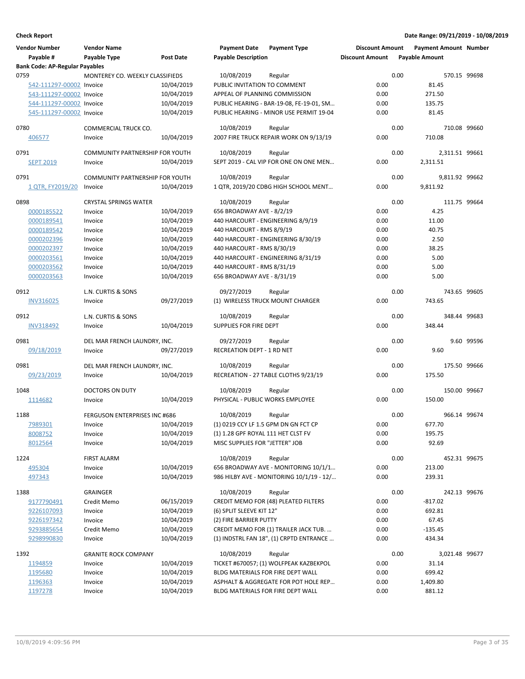| <b>Vendor Number</b>                  | <b>Vendor Name</b>                     |                  | <b>Payment Date</b>                | <b>Payment Type</b>                      | <b>Discount Amount</b> |      | <b>Payment Amount Number</b> |            |
|---------------------------------------|----------------------------------------|------------------|------------------------------------|------------------------------------------|------------------------|------|------------------------------|------------|
| Payable #                             | Payable Type                           | <b>Post Date</b> | <b>Payable Description</b>         |                                          | <b>Discount Amount</b> |      | <b>Payable Amount</b>        |            |
| <b>Bank Code: AP-Regular Payables</b> |                                        |                  |                                    |                                          |                        |      |                              |            |
| 0759                                  | MONTEREY CO. WEEKLY CLASSIFIEDS        |                  | 10/08/2019                         | Regular                                  |                        | 0.00 | 570.15 99698                 |            |
| 542-111297-00002 Invoice              |                                        | 10/04/2019       | PUBLIC INVITATION TO COMMENT       |                                          | 0.00                   |      | 81.45                        |            |
| 543-111297-00002 Invoice              |                                        | 10/04/2019       | APPEAL OF PLANNING COMMISSION      |                                          | 0.00                   |      | 271.50                       |            |
| 544-111297-00002 Invoice              |                                        | 10/04/2019       |                                    | PUBLIC HEARING - BAR-19-08, FE-19-01, SM | 0.00                   |      | 135.75                       |            |
| 545-111297-00002 Invoice              |                                        | 10/04/2019       |                                    | PUBLIC HEARING - MINOR USE PERMIT 19-04  | 0.00                   |      | 81.45                        |            |
|                                       |                                        |                  |                                    |                                          |                        |      |                              |            |
| 0780                                  | COMMERCIAL TRUCK CO.                   |                  | 10/08/2019                         | Regular                                  |                        | 0.00 | 710.08 99660                 |            |
| 406577                                | Invoice                                | 10/04/2019       |                                    | 2007 FIRE TRUCK REPAIR WORK ON 9/13/19   | 0.00                   |      | 710.08                       |            |
|                                       |                                        |                  |                                    |                                          |                        |      |                              |            |
| 0791                                  | <b>COMMUNITY PARTNERSHIP FOR YOUTH</b> |                  | 10/08/2019                         | Regular                                  |                        | 0.00 | 2,311.51 99661               |            |
| <b>SEPT 2019</b>                      | Invoice                                | 10/04/2019       |                                    | SEPT 2019 - CAL VIP FOR ONE ON ONE MEN   | 0.00                   |      | 2,311.51                     |            |
| 0791                                  | COMMUNITY PARTNERSHIP FOR YOUTH        |                  | 10/08/2019                         | Regular                                  |                        | 0.00 | 9,811.92 99662               |            |
| <u>1 QTR, FY2019/20</u>               | Invoice                                | 10/04/2019       |                                    | 1 QTR, 2019/20 CDBG HIGH SCHOOL MENT     | 0.00                   |      | 9,811.92                     |            |
|                                       |                                        |                  |                                    |                                          |                        |      |                              |            |
| 0898                                  | <b>CRYSTAL SPRINGS WATER</b>           |                  | 10/08/2019                         | Regular                                  |                        | 0.00 | 111.75 99664                 |            |
| 0000185522                            | Invoice                                | 10/04/2019       | 656 BROADWAY AVE - 8/2/19          |                                          | 0.00                   |      | 4.25                         |            |
| 0000189541                            | Invoice                                | 10/04/2019       |                                    | 440 HARCOURT - ENGINEERING 8/9/19        | 0.00                   |      | 11.00                        |            |
| 0000189542                            | Invoice                                | 10/04/2019       | 440 HARCOURT - RMS 8/9/19          |                                          | 0.00                   |      | 40.75                        |            |
| 0000202396                            | Invoice                                | 10/04/2019       |                                    | 440 HARCOURT - ENGINEERING 8/30/19       | 0.00                   |      | 2.50                         |            |
| 0000202397                            | Invoice                                | 10/04/2019       | 440 HARCOURT - RMS 8/30/19         |                                          | 0.00                   |      | 38.25                        |            |
| 0000203561                            | Invoice                                | 10/04/2019       |                                    | 440 HARCOURT - ENGINEERING 8/31/19       | 0.00                   |      | 5.00                         |            |
| 0000203562                            | Invoice                                | 10/04/2019       | 440 HARCOURT - RMS 8/31/19         |                                          | 0.00                   |      | 5.00                         |            |
| 0000203563                            | Invoice                                | 10/04/2019       | 656 BROADWAY AVE - 8/31/19         |                                          | 0.00                   |      | 5.00                         |            |
|                                       |                                        |                  |                                    |                                          |                        |      |                              |            |
| 0912                                  | L.N. CURTIS & SONS                     |                  | 09/27/2019                         | Regular                                  |                        | 0.00 | 743.65 99605                 |            |
| <b>INV316025</b>                      | Invoice                                | 09/27/2019       |                                    | (1) WIRELESS TRUCK MOUNT CHARGER         | 0.00                   |      | 743.65                       |            |
|                                       |                                        |                  |                                    |                                          |                        | 0.00 | 348.44 99683                 |            |
| 0912                                  | L.N. CURTIS & SONS                     |                  | 10/08/2019                         | Regular                                  |                        |      |                              |            |
| <b>INV318492</b>                      | Invoice                                | 10/04/2019       | SUPPLIES FOR FIRE DEPT             |                                          | 0.00                   |      | 348.44                       |            |
| 0981                                  | DEL MAR FRENCH LAUNDRY, INC.           |                  | 09/27/2019                         | Regular                                  |                        | 0.00 |                              | 9.60 99596 |
| 09/18/2019                            | Invoice                                | 09/27/2019       | RECREATION DEPT - 1 RD NET         |                                          | 0.00                   |      | 9.60                         |            |
|                                       |                                        |                  |                                    |                                          |                        |      |                              |            |
| 0981                                  | DEL MAR FRENCH LAUNDRY, INC.           |                  | 10/08/2019                         | Regular                                  |                        | 0.00 | 175.50 99666                 |            |
| 09/23/2019                            | Invoice                                | 10/04/2019       |                                    | RECREATION - 27 TABLE CLOTHS 9/23/19     | 0.00                   |      | 175.50                       |            |
|                                       |                                        |                  |                                    |                                          |                        |      | 150.00 99667                 |            |
| 1048                                  | DOCTORS ON DUTY                        |                  | 10/08/2019                         | Regular                                  |                        | 0.00 |                              |            |
| 1114682                               | Invoice                                | 10/04/2019       |                                    | PHYSICAL - PUBLIC WORKS EMPLOYEE         | 0.00                   |      | 150.00                       |            |
| 1188                                  | <b>FERGUSON ENTERPRISES INC #686</b>   |                  | 10/08/2019                         | Regular                                  |                        | 0.00 | 966.14 99674                 |            |
| 7989301                               | Invoice                                | 10/04/2019       |                                    | (1) 0219 CCY LF 1.5 GPM DN GN FCT CP     | 0.00                   |      | 677.70                       |            |
| 8008752                               | Invoice                                | 10/04/2019       | (1) 1.28 GPF ROYAL 111 HET CLST FV |                                          | 0.00                   |      | 195.75                       |            |
| 8012564                               | Invoice                                | 10/04/2019       | MISC SUPPLIES FOR "JETTER" JOB     |                                          | 0.00                   |      | 92.69                        |            |
|                                       |                                        |                  |                                    |                                          |                        |      |                              |            |
| 1224                                  | <b>FIRST ALARM</b>                     |                  | 10/08/2019                         | Regular                                  |                        | 0.00 | 452.31 99675                 |            |
| 495304                                | Invoice                                | 10/04/2019       |                                    | 656 BROADWAY AVE - MONITORING 10/1/1     | 0.00                   |      | 213.00                       |            |
| 497343                                | Invoice                                | 10/04/2019       |                                    | 986 HILBY AVE - MONITORING 10/1/19 - 12/ | 0.00                   |      | 239.31                       |            |
|                                       |                                        |                  |                                    |                                          |                        |      |                              |            |
| 1388                                  | GRAINGER                               |                  | 10/08/2019                         | Regular                                  |                        | 0.00 | 242.13 99676                 |            |
| 9177790491                            | Credit Memo                            | 06/15/2019       |                                    | CREDIT MEMO FOR (48) PLEATED FILTERS     | 0.00                   |      | $-817.02$                    |            |
| 9226107093                            | Invoice                                | 10/04/2019       | (6) SPLIT SLEEVE KIT 12"           |                                          | 0.00                   |      | 692.81                       |            |
| 9226197342                            | Invoice                                | 10/04/2019       | (2) FIRE BARRIER PUTTY             |                                          | 0.00                   |      | 67.45                        |            |
| 9293885654                            | Credit Memo                            | 10/04/2019       |                                    | CREDIT MEMO FOR (1) TRAILER JACK TUB.    | 0.00                   |      | $-135.45$                    |            |
| 9298990830                            | Invoice                                | 10/04/2019       |                                    | (1) INDSTRL FAN 18", (1) CRPTD ENTRANCE  | 0.00                   |      | 434.34                       |            |
| 1392                                  | <b>GRANITE ROCK COMPANY</b>            |                  | 10/08/2019                         | Regular                                  |                        | 0.00 | 3,021.48 99677               |            |
|                                       | Invoice                                | 10/04/2019       |                                    | TICKET #670057; (1) WOLFPEAK KAZBEKPOL   | 0.00                   |      | 31.14                        |            |
| 1194859                               |                                        |                  |                                    |                                          |                        |      |                              |            |
| 1195680                               | Invoice                                | 10/04/2019       |                                    | BLDG MATERIALS FOR FIRE DEPT WALL        | 0.00                   |      | 699.42                       |            |
| 1196363                               | Invoice                                | 10/04/2019       |                                    | ASPHALT & AGGREGATE FOR POT HOLE REP     | 0.00                   |      | 1,409.80                     |            |
| 1197278                               | Invoice                                | 10/04/2019       |                                    | BLDG MATERIALS FOR FIRE DEPT WALL        | 0.00                   |      | 881.12                       |            |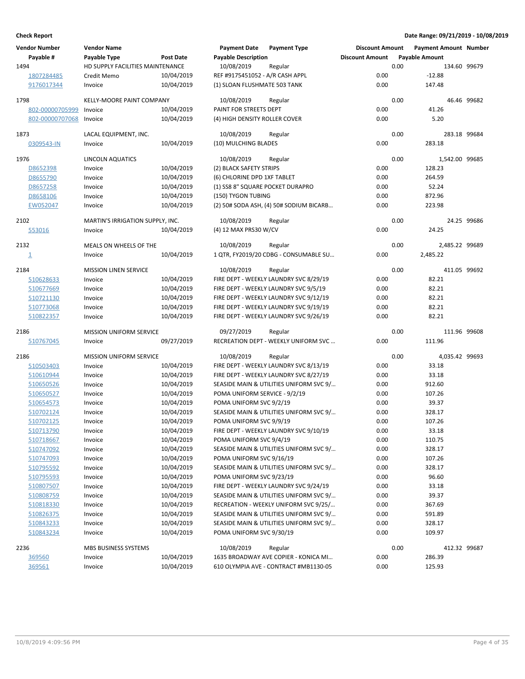| <b>Vendor Number</b> | <b>Vendor Name</b>               |                  | <b>Payment Date</b>              | <b>Payment Type</b>                     | <b>Discount Amount</b> |      | <b>Payment Amount Number</b> |             |
|----------------------|----------------------------------|------------------|----------------------------------|-----------------------------------------|------------------------|------|------------------------------|-------------|
| Payable #            | Payable Type                     | <b>Post Date</b> | <b>Payable Description</b>       |                                         | <b>Discount Amount</b> |      | <b>Payable Amount</b>        |             |
| 1494                 | HD SUPPLY FACILITIES MAINTENANCE |                  | 10/08/2019                       | Regular                                 |                        | 0.00 | 134.60 99679                 |             |
| 1807284485           | Credit Memo                      | 10/04/2019       | REF #9175451052 - A/R CASH APPL  |                                         | 0.00                   |      | $-12.88$                     |             |
| 9176017344           | Invoice                          | 10/04/2019       | (1) SLOAN FLUSHMATE 503 TANK     |                                         | 0.00                   |      | 147.48                       |             |
| 1798                 | <b>KELLY-MOORE PAINT COMPANY</b> |                  | 10/08/2019                       | Regular                                 |                        | 0.00 |                              | 46.46 99682 |
| 802-00000705999      | Invoice                          | 10/04/2019       | PAINT FOR STREETS DEPT           |                                         | 0.00                   |      | 41.26                        |             |
| 802-00000707068      | Invoice                          | 10/04/2019       | (4) HIGH DENSITY ROLLER COVER    |                                         | 0.00                   |      | 5.20                         |             |
| 1873                 | LACAL EQUIPMENT, INC.            |                  | 10/08/2019                       | Regular                                 |                        | 0.00 | 283.18 99684                 |             |
| 0309543-IN           | Invoice                          | 10/04/2019       | (10) MULCHING BLADES             |                                         | 0.00                   |      | 283.18                       |             |
|                      |                                  |                  |                                  |                                         |                        |      | 1,542.00 99685               |             |
| 1976                 | LINCOLN AQUATICS                 |                  | 10/08/2019                       | Regular                                 |                        | 0.00 |                              |             |
| D8652398             | Invoice                          | 10/04/2019       | (2) BLACK SAFETY STRIPS          |                                         | 0.00                   |      | 128.23                       |             |
| D8655790             | Invoice                          | 10/04/2019       | (6) CHLORINE DPD 1XF TABLET      |                                         | 0.00                   |      | 264.59                       |             |
| D8657258             | Invoice                          | 10/04/2019       | (1) SS8 8" SQUARE POCKET DURAPRO |                                         | 0.00                   |      | 52.24                        |             |
| D8658106             | Invoice                          | 10/04/2019       | (150) TYGON TUBING               |                                         | 0.00                   |      | 872.96                       |             |
| EW052047             | Invoice                          | 10/04/2019       |                                  | (2) 50# SODA ASH, (4) 50# SODIUM BICARB | 0.00                   |      | 223.98                       |             |
| 2102                 | MARTIN'S IRRIGATION SUPPLY, INC. |                  | 10/08/2019                       | Regular                                 |                        | 0.00 |                              | 24.25 99686 |
| 553016               | Invoice                          | 10/04/2019       | (4) 12 MAX PRS30 W/CV            |                                         | 0.00                   |      | 24.25                        |             |
| 2132                 | MEALS ON WHEELS OF THE           |                  | 10/08/2019                       | Regular                                 |                        | 0.00 | 2,485.22 99689               |             |
| $\overline{1}$       | Invoice                          | 10/04/2019       |                                  | 1 QTR, FY2019/20 CDBG - CONSUMABLE SU   | 0.00                   |      | 2,485.22                     |             |
| 2184                 | <b>MISSION LINEN SERVICE</b>     |                  | 10/08/2019                       | Regular                                 |                        | 0.00 | 411.05 99692                 |             |
| 510628633            | Invoice                          | 10/04/2019       |                                  | FIRE DEPT - WEEKLY LAUNDRY SVC 8/29/19  | 0.00                   |      | 82.21                        |             |
| 510677669            | Invoice                          | 10/04/2019       |                                  | FIRE DEPT - WEEKLY LAUNDRY SVC 9/5/19   | 0.00                   |      | 82.21                        |             |
| 510721130            | Invoice                          | 10/04/2019       |                                  | FIRE DEPT - WEEKLY LAUNDRY SVC 9/12/19  | 0.00                   |      | 82.21                        |             |
| 510773068            | Invoice                          | 10/04/2019       |                                  | FIRE DEPT - WEEKLY LAUNDRY SVC 9/19/19  | 0.00                   |      | 82.21                        |             |
| 510822357            | Invoice                          | 10/04/2019       |                                  | FIRE DEPT - WEEKLY LAUNDRY SVC 9/26/19  | 0.00                   |      | 82.21                        |             |
|                      |                                  |                  |                                  |                                         |                        |      |                              |             |
| 2186                 | <b>MISSION UNIFORM SERVICE</b>   |                  | 09/27/2019                       | Regular                                 |                        | 0.00 | 111.96 99608                 |             |
| 510767045            | Invoice                          | 09/27/2019       |                                  | RECREATION DEPT - WEEKLY UNIFORM SVC    | 0.00                   |      | 111.96                       |             |
| 2186                 | <b>MISSION UNIFORM SERVICE</b>   |                  | 10/08/2019                       | Regular                                 |                        | 0.00 | 4,035.42 99693               |             |
| 510503403            | Invoice                          | 10/04/2019       |                                  | FIRE DEPT - WEEKLY LAUNDRY SVC 8/13/19  | 0.00                   |      | 33.18                        |             |
| 510610944            | Invoice                          | 10/04/2019       |                                  | FIRE DEPT - WEEKLY LAUNDRY SVC 8/27/19  | 0.00                   |      | 33.18                        |             |
| 510650526            | Invoice                          | 10/04/2019       |                                  | SEASIDE MAIN & UTILITIES UNIFORM SVC 9/ | 0.00                   |      | 912.60                       |             |
| 510650527            | Invoice                          | 10/04/2019       | POMA UNIFORM SERVICE - 9/2/19    |                                         | 0.00                   |      | 107.26                       |             |
| 510654573            | Invoice                          | 10/04/2019       | POMA UNIFORM SVC 9/2/19          |                                         | 0.00                   |      | 39.37                        |             |
| 510702124            | Invoice                          | 10/04/2019       |                                  | SEASIDE MAIN & UTILITIES UNIFORM SVC 9/ | 0.00                   |      | 328.17                       |             |
| 510702125            | Invoice                          | 10/04/2019       | POMA UNIFORM SVC 9/9/19          |                                         | 0.00                   |      | 107.26                       |             |
| 510713790            | Invoice                          | 10/04/2019       |                                  | FIRE DEPT - WEEKLY LAUNDRY SVC 9/10/19  | 0.00                   |      | 33.18                        |             |
| 510718667            | Invoice                          | 10/04/2019       | POMA UNIFORM SVC 9/4/19          |                                         | 0.00                   |      | 110.75                       |             |
| 510747092            | Invoice                          | 10/04/2019       |                                  | SEASIDE MAIN & UTILITIES UNIFORM SVC 9/ | 0.00                   |      | 328.17                       |             |
| 510747093            | Invoice                          | 10/04/2019       | POMA UNIFORM SVC 9/16/19         |                                         | 0.00                   |      | 107.26                       |             |
| 510795592            | Invoice                          | 10/04/2019       |                                  | SEASIDE MAIN & UTILITIES UNIFORM SVC 9/ | 0.00                   |      | 328.17                       |             |
| 510795593            | Invoice                          | 10/04/2019       | POMA UNIFORM SVC 9/23/19         |                                         | 0.00                   |      | 96.60                        |             |
| 510807507            | Invoice                          | 10/04/2019       |                                  | FIRE DEPT - WEEKLY LAUNDRY SVC 9/24/19  | 0.00                   |      | 33.18                        |             |
| 510808759            | Invoice                          | 10/04/2019       |                                  | SEASIDE MAIN & UTILITIES UNIFORM SVC 9/ | 0.00                   |      | 39.37                        |             |
| 510818330            | Invoice                          | 10/04/2019       |                                  | RECREATION - WEEKLY UNIFORM SVC 9/25/   | 0.00                   |      | 367.69                       |             |
| 510826375            | Invoice                          | 10/04/2019       |                                  | SEASIDE MAIN & UTILITIES UNIFORM SVC 9/ | 0.00                   |      | 591.89                       |             |
| 510843233            | Invoice                          | 10/04/2019       |                                  | SEASIDE MAIN & UTILITIES UNIFORM SVC 9/ | 0.00                   |      | 328.17                       |             |
| 510843234            | Invoice                          | 10/04/2019       | POMA UNIFORM SVC 9/30/19         |                                         | 0.00                   |      | 109.97                       |             |
|                      |                                  |                  |                                  |                                         |                        |      |                              |             |
| 2236                 | MBS BUSINESS SYSTEMS             |                  | 10/08/2019                       | Regular                                 |                        | 0.00 | 412.32 99687                 |             |
| 369560               | Invoice                          | 10/04/2019       |                                  | 1635 BROADWAY AVE COPIER - KONICA MI    | 0.00                   |      | 286.39                       |             |
| 369561               | Invoice                          | 10/04/2019       |                                  | 610 OLYMPIA AVE - CONTRACT #MB1130-05   | 0.00                   |      | 125.93                       |             |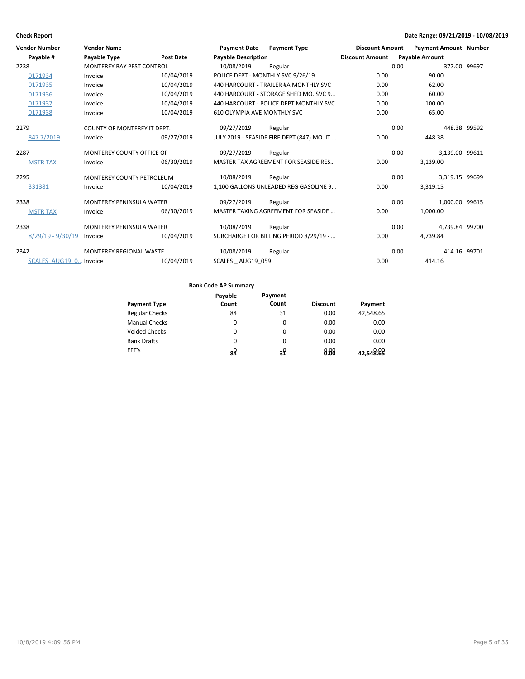| <b>Vendor Number</b>   | <b>Vendor Name</b>               |                  | <b>Payment Date</b>                | <b>Payment Type</b>                        | <b>Discount Amount</b> |      | <b>Payment Amount Number</b> |  |
|------------------------|----------------------------------|------------------|------------------------------------|--------------------------------------------|------------------------|------|------------------------------|--|
| Payable #              | <b>Payable Type</b>              | <b>Post Date</b> | <b>Payable Description</b>         |                                            | <b>Discount Amount</b> |      | <b>Payable Amount</b>        |  |
| 2238                   | <b>MONTEREY BAY PEST CONTROL</b> |                  | 10/08/2019                         | Regular                                    |                        | 0.00 | 377.00 99697                 |  |
| 0171934                | Invoice                          | 10/04/2019       |                                    | POLICE DEPT - MONTHLY SVC 9/26/19          | 0.00                   |      | 90.00                        |  |
| 0171935                | Invoice                          | 10/04/2019       |                                    | 440 HARCOURT - TRAILER #A MONTHLY SVC      | 0.00                   |      | 62.00                        |  |
| 0171936                | Invoice                          | 10/04/2019       |                                    | 440 HARCOURT - STORAGE SHED MO. SVC 9      | 0.00                   |      | 60.00                        |  |
| 0171937                | Invoice                          | 10/04/2019       |                                    | 440 HARCOURT - POLICE DEPT MONTHLY SVC     | 0.00                   |      | 100.00                       |  |
| 0171938                | Invoice                          | 10/04/2019       | <b>610 OLYMPIA AVE MONTHLY SVC</b> |                                            | 0.00                   |      | 65.00                        |  |
| 2279                   | COUNTY OF MONTEREY IT DEPT.      |                  | 09/27/2019                         | Regular                                    |                        | 0.00 | 448.38 99592                 |  |
| 8477/2019              | Invoice                          | 09/27/2019       |                                    | JULY 2019 - SEASIDE FIRE DEPT (847) MO. IT | 0.00                   |      | 448.38                       |  |
| 2287                   | MONTEREY COUNTY OFFICE OF        |                  | 09/27/2019                         | Regular                                    |                        | 0.00 | 3,139.00 99611               |  |
| <b>MSTR TAX</b>        | Invoice                          | 06/30/2019       |                                    | MASTER TAX AGREEMENT FOR SEASIDE RES       | 0.00                   |      | 3.139.00                     |  |
| 2295                   | <b>MONTEREY COUNTY PETROLEUM</b> |                  | 10/08/2019                         | Regular                                    |                        | 0.00 | 3,319.15 99699               |  |
| 331381                 | Invoice                          | 10/04/2019       |                                    | 1.100 GALLONS UNLEADED REG GASOLINE 9      | 0.00                   |      | 3,319.15                     |  |
| 2338                   | <b>MONTEREY PENINSULA WATER</b>  |                  | 09/27/2019                         | Regular                                    |                        | 0.00 | 1,000.00 99615               |  |
| <b>MSTR TAX</b>        | Invoice                          | 06/30/2019       |                                    | MASTER TAXING AGREEMENT FOR SEASIDE        | 0.00                   |      | 1,000.00                     |  |
| 2338                   | <b>MONTEREY PENINSULA WATER</b>  |                  | 10/08/2019                         | Regular                                    |                        | 0.00 | 4.739.84 99700               |  |
| $8/29/19 - 9/30/19$    | Invoice                          | 10/04/2019       |                                    | SURCHARGE FOR BILLING PERIOD 8/29/19 -     | 0.00                   |      | 4.739.84                     |  |
| 2342                   | <b>MONTEREY REGIONAL WASTE</b>   |                  | 10/08/2019                         | Regular                                    |                        | 0.00 | 414.16 99701                 |  |
| SCALES AUG19 0 Invoice |                                  | 10/04/2019       | SCALES AUG19 059                   |                                            | 0.00                   |      | 414.16                       |  |

|                       | Payable  | Payment  |                 |           |
|-----------------------|----------|----------|-----------------|-----------|
| <b>Payment Type</b>   | Count    | Count    | <b>Discount</b> | Payment   |
| <b>Regular Checks</b> | 84       | 31       | 0.00            | 42,548.65 |
| <b>Manual Checks</b>  | 0        | $\Omega$ | 0.00            | 0.00      |
| Voided Checks         | $\Omega$ | $\Omega$ | 0.00            | 0.00      |
| <b>Bank Drafts</b>    | $\Omega$ | 0        | 0.00            | 0.00      |
| EFT's                 | 84       | ą۷       | 0.00            | 42,548.89 |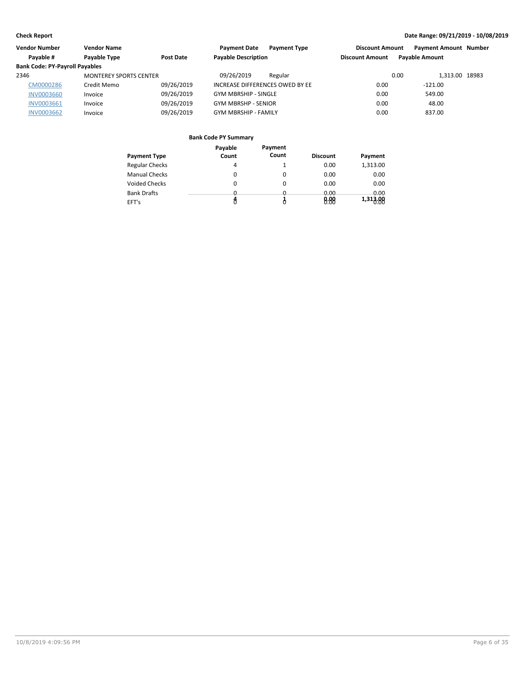| <b>Vendor Number</b><br><b>Vendor Name</b> |                               | <b>Payment Date</b><br><b>Payment Type</b> | <b>Payment Amount Number</b><br><b>Discount Amount</b> |                        |                       |  |
|--------------------------------------------|-------------------------------|--------------------------------------------|--------------------------------------------------------|------------------------|-----------------------|--|
| Payable #                                  | Payable Type<br>Post Date     |                                            | <b>Payable Description</b>                             | <b>Discount Amount</b> | <b>Pavable Amount</b> |  |
| <b>Bank Code: PY-Payroll Payables</b>      |                               |                                            |                                                        |                        |                       |  |
| 2346                                       | <b>MONTEREY SPORTS CENTER</b> |                                            | 09/26/2019<br>Regular                                  | 0.00                   | 1.313.00 18983        |  |
| CM0000286                                  | Credit Memo                   | 09/26/2019                                 | INCREASE DIFFERENCES OWED BY EE                        | 0.00                   | $-121.00$             |  |
| <b>INV0003660</b>                          | Invoice                       | 09/26/2019                                 | <b>GYM MBRSHIP - SINGLE</b>                            | 0.00                   | 549.00                |  |
| <b>INV0003661</b>                          | Invoice                       | 09/26/2019                                 | <b>GYM MBRSHP - SENIOR</b>                             | 0.00                   | 48.00                 |  |
| <b>INV0003662</b>                          | Invoice                       | 09/26/2019                                 | <b>GYM MBRSHIP - FAMILY</b>                            | 0.00                   | 837.00                |  |
|                                            |                               |                                            |                                                        |                        |                       |  |

|                       | Payable  | Payment  |                 |          |
|-----------------------|----------|----------|-----------------|----------|
| <b>Payment Type</b>   | Count    | Count    | <b>Discount</b> | Payment  |
| <b>Regular Checks</b> | 4        |          | 0.00            | 1,313.00 |
| <b>Manual Checks</b>  | 0        | 0        | 0.00            | 0.00     |
| <b>Voided Checks</b>  | 0        | 0        | 0.00            | 0.00     |
| <b>Bank Drafts</b>    | <u>n</u> | <u>n</u> | 0.00            | 0.00     |
| EFT's                 |          |          | 8.88            | 1,313.00 |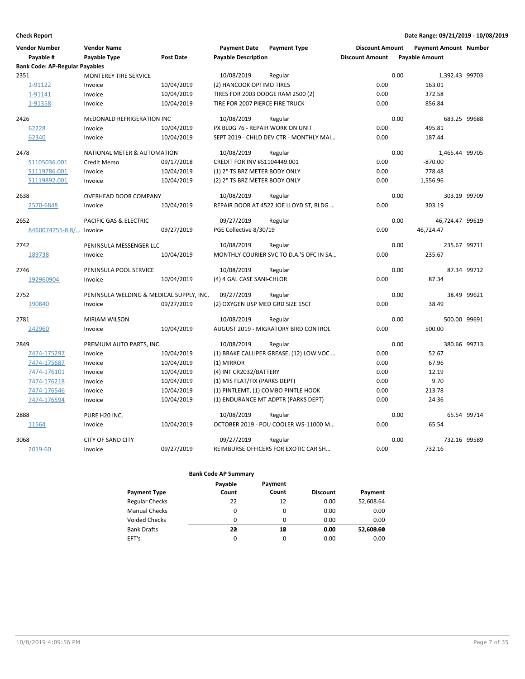| <b>Vendor Number</b><br>Payable #     | <b>Vendor Name</b><br>Payable Type       | <b>Post Date</b> | <b>Payment Date</b><br><b>Payable Description</b> | <b>Payment Type</b>                     | <b>Discount Amount</b><br><b>Discount Amount</b> |      | <b>Payment Amount Number</b><br><b>Payable Amount</b> |             |
|---------------------------------------|------------------------------------------|------------------|---------------------------------------------------|-----------------------------------------|--------------------------------------------------|------|-------------------------------------------------------|-------------|
| <b>Bank Code: AP-Regular Payables</b> |                                          |                  |                                                   |                                         |                                                  |      |                                                       |             |
| 2351                                  | <b>MONTEREY TIRE SERVICE</b>             |                  | 10/08/2019                                        | Regular                                 |                                                  | 0.00 | 1,392.43 99703                                        |             |
| 1-91122                               | Invoice                                  | 10/04/2019       | (2) HANCOOK OPTIMO TIRES                          |                                         | 0.00                                             |      | 163.01                                                |             |
| 1-91141                               | Invoice                                  | 10/04/2019       | TIRES FOR 2003 DODGE RAM 2500 (2)                 |                                         | 0.00                                             |      | 372.58                                                |             |
| 1-91358                               | Invoice                                  | 10/04/2019       | TIRE FOR 2007 PIERCE FIRE TRUCK                   |                                         | 0.00                                             |      | 856.84                                                |             |
| 2426                                  | MCDONALD REFRIGERATION INC               |                  | 10/08/2019                                        | Regular                                 |                                                  | 0.00 | 683.25 99688                                          |             |
| 62228                                 | Invoice                                  | 10/04/2019       | PX BLDG 76 - REPAIR WORK ON UNIT                  |                                         | 0.00                                             |      | 495.81                                                |             |
| 62340                                 | Invoice                                  | 10/04/2019       |                                                   | SEPT 2019 - CHILD DEV CTR - MONTHLY MAI | 0.00                                             |      | 187.44                                                |             |
| 2478                                  | NATIONAL METER & AUTOMATION              |                  | 10/08/2019                                        | Regular                                 |                                                  | 0.00 | 1,465.44 99705                                        |             |
| S1105036.001                          | Credit Memo                              | 09/17/2018       | CREDIT FOR INV #S1104449.001                      |                                         | 0.00                                             |      | $-870.00$                                             |             |
| S1119786.001                          | Invoice                                  | 10/04/2019       | (1) 2" TS BRZ METER BODY ONLY                     |                                         | 0.00                                             |      | 778.48                                                |             |
| S1119892.001                          | Invoice                                  | 10/04/2019       | (2) 2" TS BRZ METER BODY ONLY                     |                                         | 0.00                                             |      | 1,556.96                                              |             |
| 2638                                  | OVERHEAD DOOR COMPANY                    |                  | 10/08/2019                                        | Regular                                 |                                                  | 0.00 | 303.19 99709                                          |             |
| 2570-6848                             | Invoice                                  | 10/04/2019       |                                                   | REPAIR DOOR AT 4522 JOE LLOYD ST, BLDG  | 0.00                                             |      | 303.19                                                |             |
| 2652                                  | PACIFIC GAS & ELECTRIC                   |                  | 09/27/2019                                        | Regular                                 |                                                  | 0.00 | 46,724.47 99619                                       |             |
| 8460074755-8 8/ Invoice               |                                          | 09/27/2019       | PGE Collective 8/30/19                            |                                         | 0.00                                             |      | 46,724.47                                             |             |
|                                       |                                          |                  |                                                   |                                         |                                                  |      |                                                       |             |
| 2742                                  | PENINSULA MESSENGER LLC                  |                  | 10/08/2019                                        | Regular                                 |                                                  | 0.00 | 235.67 99711                                          |             |
| 189738                                | Invoice                                  | 10/04/2019       |                                                   | MONTHLY COURIER SVC TO D.A.'S OFC IN SA | 0.00                                             |      | 235.67                                                |             |
| 2746                                  | PENINSULA POOL SERVICE                   |                  | 10/08/2019                                        | Regular                                 |                                                  | 0.00 |                                                       | 87.34 99712 |
| 192960904                             | Invoice                                  | 10/04/2019       | (4) 4 GAL CASE SANI-CHLOR                         |                                         | 0.00                                             |      | 87.34                                                 |             |
| 2752                                  | PENINSULA WELDING & MEDICAL SUPPLY, INC. |                  | 09/27/2019                                        | Regular                                 |                                                  | 0.00 |                                                       | 38.49 99621 |
| 190840                                | Invoice                                  | 09/27/2019       | (2) OXYGEN USP MED GRD SIZE 15CF                  |                                         | 0.00                                             |      | 38.49                                                 |             |
| 2781                                  | <b>MIRIAM WILSON</b>                     |                  | 10/08/2019                                        | Regular                                 |                                                  | 0.00 | 500.00 99691                                          |             |
| 242960                                | Invoice                                  | 10/04/2019       |                                                   | AUGUST 2019 - MIGRATORY BIRD CONTROL    | 0.00                                             |      | 500.00                                                |             |
| 2849                                  | PREMIUM AUTO PARTS, INC.                 |                  | 10/08/2019                                        | Regular                                 |                                                  | 0.00 | 380.66 99713                                          |             |
| 7474-175297                           | Invoice                                  | 10/04/2019       |                                                   | (1) BRAKE CALLIPER GREASE, (12) LOW VOC | 0.00                                             |      | 52.67                                                 |             |
| 7474-175687                           | Invoice                                  | 10/04/2019       | (1) MIRROR                                        |                                         | 0.00                                             |      | 67.96                                                 |             |
| 7474-176101                           | Invoice                                  | 10/04/2019       | (4) INT CR2032/BATTERY                            |                                         | 0.00                                             |      | 12.19                                                 |             |
| 7474-176218                           | Invoice                                  | 10/04/2019       | (1) MIS FLAT/FIX (PARKS DEPT)                     |                                         | 0.00                                             |      | 9.70                                                  |             |
| 7474-176546                           | Invoice                                  | 10/04/2019       |                                                   | (1) PINTLEMT, (1) COMBO PINTLE HOOK     | 0.00                                             |      | 213.78                                                |             |
| 7474-176594                           | Invoice                                  | 10/04/2019       |                                                   | (1) ENDURANCE MT ADPTR (PARKS DEPT)     | 0.00                                             |      | 24.36                                                 |             |
| 2888                                  | PURE H20 INC.                            |                  | 10/08/2019                                        | Regular                                 |                                                  | 0.00 |                                                       | 65.54 99714 |
| 11564                                 | Invoice                                  | 10/04/2019       |                                                   | OCTOBER 2019 - POU COOLER WS-11000 M    | 0.00                                             |      | 65.54                                                 |             |
|                                       |                                          |                  |                                                   |                                         |                                                  |      |                                                       |             |
| 3068                                  | <b>CITY OF SAND CITY</b>                 |                  | 09/27/2019                                        | Regular                                 |                                                  | 0.00 | 732.16 99589                                          |             |
| 2019-60                               | Invoice                                  | 09/27/2019       |                                                   | REIMBURSE OFFICERS FOR EXOTIC CAR SH    | 0.00                                             |      | 732.16                                                |             |

|                       | Payable  | Payment  |                 |           |
|-----------------------|----------|----------|-----------------|-----------|
| <b>Payment Type</b>   | Count    | Count    | <b>Discount</b> | Payment   |
| <b>Regular Checks</b> | 22       | 12       | 0.00            | 52,608.64 |
| <b>Manual Checks</b>  | 0        | 0        | 0.00            | 0.00      |
| <b>Voided Checks</b>  | 0        | $\Omega$ | 0.00            | 0.00      |
| <b>Bank Drafts</b>    | 20       | 10       | 0.00            | 52,608.60 |
| EFT's                 | $\Omega$ | 0        | 0.00            | 0.00      |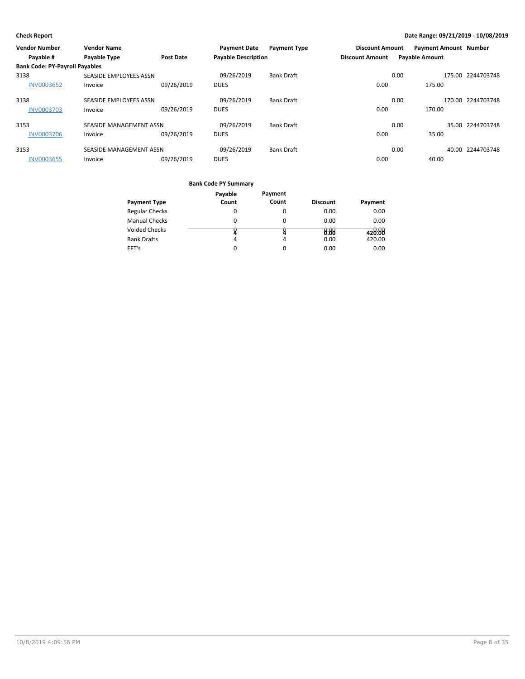| <b>Vendor Number</b>                  | <b>Vendor Name</b>      |                  | <b>Payment Date</b>        | <b>Payment Type</b> | <b>Discount Amount</b> |                       | <b>Payment Amount Number</b> |                   |
|---------------------------------------|-------------------------|------------------|----------------------------|---------------------|------------------------|-----------------------|------------------------------|-------------------|
| Payable #                             | <b>Payable Type</b>     | <b>Post Date</b> | <b>Payable Description</b> |                     | <b>Discount Amount</b> | <b>Payable Amount</b> |                              |                   |
| <b>Bank Code: PY-Payroll Payables</b> |                         |                  |                            |                     |                        |                       |                              |                   |
| 3138                                  | SEASIDE EMPLOYEES ASSN  |                  | 09/26/2019                 | <b>Bank Draft</b>   |                        | 0.00                  |                              | 175.00 2244703748 |
| <b>INV0003652</b>                     | Invoice                 | 09/26/2019       | <b>DUES</b>                |                     | 0.00                   |                       | 175.00                       |                   |
| 3138                                  | SEASIDE EMPLOYEES ASSN  |                  | 09/26/2019                 | <b>Bank Draft</b>   |                        | 0.00                  |                              | 170.00 2244703748 |
| <b>INV0003703</b>                     | Invoice                 | 09/26/2019       | <b>DUES</b>                |                     | 0.00                   |                       | 170.00                       |                   |
| 3153                                  | SEASIDE MANAGEMENT ASSN |                  | 09/26/2019                 | <b>Bank Draft</b>   |                        | 0.00                  |                              | 35.00 2244703748  |
| <b>INV0003706</b>                     | Invoice                 | 09/26/2019       | <b>DUES</b>                |                     | 0.00                   |                       | 35.00                        |                   |
| 3153                                  | SEASIDE MANAGEMENT ASSN |                  | 09/26/2019                 | <b>Bank Draft</b>   |                        | 0.00                  |                              | 40.00 2244703748  |
| <b>INV0003655</b>                     | Invoice                 | 09/26/2019       | <b>DUES</b>                |                     | 0.00                   |                       | 40.00                        |                   |

|                       | Payable | Payment |                 |         |
|-----------------------|---------|---------|-----------------|---------|
| <b>Payment Type</b>   | Count   | Count   | <b>Discount</b> | Payment |
| <b>Regular Checks</b> | O       | 0       | 0.00            | 0.00    |
| <b>Manual Checks</b>  | 0       | 0       | 0.00            | 0.00    |
| <b>Voided Checks</b>  |         |         | 0.88            | 428.88  |
| <b>Bank Drafts</b>    | 4       | 4       | 0.00            | 420.00  |
| EFT's                 |         | 0       | 0.00            | 0.00    |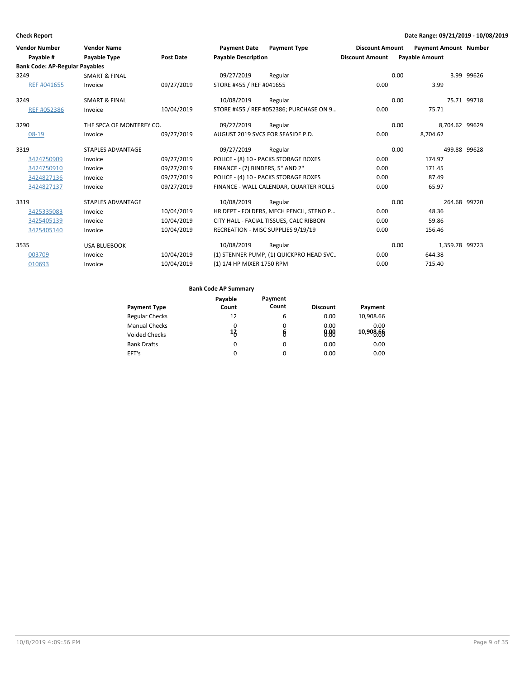| <b>Vendor Number</b>                  | <b>Vendor Name</b>       |                  | <b>Payment Date</b>              | <b>Payment Type</b>                     | <b>Discount Amount</b> | <b>Payment Amount Number</b> |              |
|---------------------------------------|--------------------------|------------------|----------------------------------|-----------------------------------------|------------------------|------------------------------|--------------|
| Payable #                             | Payable Type             | <b>Post Date</b> | <b>Payable Description</b>       |                                         | <b>Discount Amount</b> | <b>Payable Amount</b>        |              |
| <b>Bank Code: AP-Regular Payables</b> |                          |                  |                                  |                                         |                        |                              |              |
| 3249                                  | <b>SMART &amp; FINAL</b> |                  | 09/27/2019                       | Regular                                 |                        | 0.00                         | 3.99 99626   |
| REF #041655                           | Invoice                  | 09/27/2019       | STORE #455 / REF #041655         |                                         | 0.00                   | 3.99                         |              |
| 3249                                  | <b>SMART &amp; FINAL</b> |                  | 10/08/2019                       | Regular                                 |                        | 0.00                         | 75.71 99718  |
| REF #052386                           | Invoice                  | 10/04/2019       |                                  | STORE #455 / REF #052386; PURCHASE ON 9 | 0.00                   | 75.71                        |              |
| 3290                                  | THE SPCA OF MONTEREY CO. |                  | 09/27/2019                       | Regular                                 |                        | 0.00<br>8,704.62 99629       |              |
| $08-19$                               | Invoice                  | 09/27/2019       |                                  | AUGUST 2019 SVCS FOR SEASIDE P.D.       | 0.00                   | 8,704.62                     |              |
| 3319                                  | <b>STAPLES ADVANTAGE</b> |                  | 09/27/2019                       | Regular                                 |                        | 0.00<br>499.88 99628         |              |
| 3424750909                            | Invoice                  | 09/27/2019       |                                  | POLICE - (8) 10 - PACKS STORAGE BOXES   | 0.00                   | 174.97                       |              |
| 3424750910                            | Invoice                  | 09/27/2019       | FINANCE - (7) BINDERS, 5" AND 2" |                                         | 0.00                   | 171.45                       |              |
| 3424827136                            | Invoice                  | 09/27/2019       |                                  | POLICE - (4) 10 - PACKS STORAGE BOXES   | 0.00                   | 87.49                        |              |
| 3424827137                            | Invoice                  | 09/27/2019       |                                  | FINANCE - WALL CALENDAR, QUARTER ROLLS  | 0.00                   | 65.97                        |              |
| 3319                                  | <b>STAPLES ADVANTAGE</b> |                  | 10/08/2019                       | Regular                                 |                        | 0.00                         | 264.68 99720 |
| 3425335083                            | Invoice                  | 10/04/2019       |                                  | HR DEPT - FOLDERS, MECH PENCIL, STENO P | 0.00                   | 48.36                        |              |
| 3425405139                            | Invoice                  | 10/04/2019       |                                  | CITY HALL - FACIAL TISSUES, CALC RIBBON | 0.00                   | 59.86                        |              |
| 3425405140                            | Invoice                  | 10/04/2019       |                                  | RECREATION - MISC SUPPLIES 9/19/19      | 0.00                   | 156.46                       |              |
| 3535                                  | <b>USA BLUEBOOK</b>      |                  | 10/08/2019                       | Regular                                 |                        | 0.00<br>1,359.78 99723       |              |
| 003709                                | Invoice                  | 10/04/2019       |                                  | (1) STENNER PUMP, (1) QUICKPRO HEAD SVC | 0.00                   | 644.38                       |              |
| 010693                                | Invoice                  | 10/04/2019       | (1) 1/4 HP MIXER 1750 RPM        |                                         | 0.00                   | 715.40                       |              |

|                       | Payable | Payment  |                 |           |
|-----------------------|---------|----------|-----------------|-----------|
| <b>Payment Type</b>   | Count   | Count    | <b>Discount</b> | Payment   |
| <b>Regular Checks</b> | 12      | 6        | 0.00            | 10,908.66 |
| <b>Manual Checks</b>  | 0       | 0        | 0.00            | 0.00      |
| <b>Voided Checks</b>  | 13      | 8        | 0.88            | 10,908.66 |
| <b>Bank Drafts</b>    | 0       | 0        | 0.00            | 0.00      |
| EFT's                 | 0       | $\Omega$ | 0.00            | 0.00      |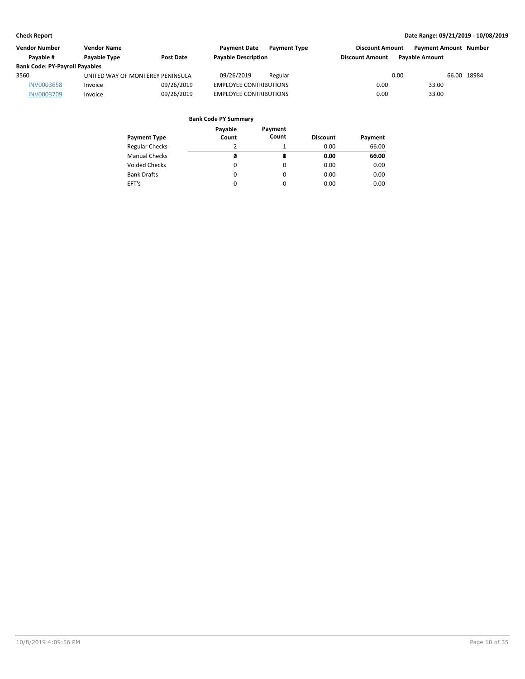| Vendor Number                         | <b>Vendor Name</b>               |                  | <b>Payment Date</b>           | <b>Payment Type</b> | <b>Discount Amount</b> |                       | <b>Payment Amount Number</b> |  |
|---------------------------------------|----------------------------------|------------------|-------------------------------|---------------------|------------------------|-----------------------|------------------------------|--|
| Pavable #                             | Payable Type                     | <b>Post Date</b> | <b>Payable Description</b>    |                     | <b>Discount Amount</b> | <b>Pavable Amount</b> |                              |  |
| <b>Bank Code: PY-Payroll Payables</b> |                                  |                  |                               |                     |                        |                       |                              |  |
| 3560                                  | UNITED WAY OF MONTEREY PENINSULA |                  | 09/26/2019                    | Regular             |                        | 0.00                  | 66.00 18984                  |  |
| <b>INV0003658</b>                     | Invoice                          | 09/26/2019       | <b>EMPLOYEE CONTRIBUTIONS</b> |                     | 0.00                   | 33.00                 |                              |  |
| <b>INV0003709</b>                     | Invoice                          | 09/26/2019       | <b>EMPLOYEE CONTRIBUTIONS</b> |                     | 0.00                   | 33.00                 |                              |  |

| Payment Type          | Payable<br>Count | Payment<br>Count | <b>Discount</b> | Payment |
|-----------------------|------------------|------------------|-----------------|---------|
| <b>Regular Checks</b> | 2                |                  | 0.00            | 66.00   |
| <b>Manual Checks</b>  | ø                | Q                | 0.00            | 60.00   |
| Voided Checks         | 0                | 0                | 0.00            | 0.00    |
| <b>Bank Drafts</b>    | 0                | 0                | 0.00            | 0.00    |
| EFT's                 | 0                | $\Omega$         | 0.00            | 0.00    |
|                       |                  |                  |                 |         |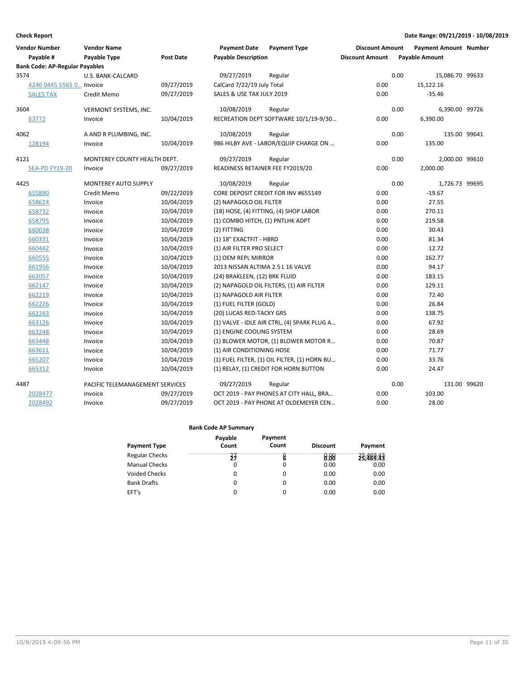| <b>Vendor Number</b><br>Pavable #     | <b>Vendor Name</b><br><b>Payable Type</b> | Post Date  | <b>Payment Date</b><br><b>Payable Description</b> | <b>Payment Type</b>                          | <b>Discount Amount</b><br><b>Discount Amount</b> |      | <b>Payment Amount Number</b><br><b>Payable Amount</b> |  |
|---------------------------------------|-------------------------------------------|------------|---------------------------------------------------|----------------------------------------------|--------------------------------------------------|------|-------------------------------------------------------|--|
| <b>Bank Code: AP-Regular Payables</b> |                                           |            |                                                   |                                              |                                                  |      |                                                       |  |
| 3574                                  | U.S. BANK-CALCARD                         |            | 09/27/2019                                        | Regular                                      |                                                  | 0.00 | 15,086.70 99633                                       |  |
| 4246 0445 5565 0 Invoice              |                                           | 09/27/2019 | CalCard 7/22/19 July Total                        |                                              | 0.00                                             |      | 15,122.16                                             |  |
| <b>SALES TAX</b>                      | Credit Memo                               | 09/27/2019 | SALES & USE TAX JULY 2019                         |                                              | 0.00                                             |      | $-35.46$                                              |  |
| 3604                                  | VERMONT SYSTEMS, INC.                     |            | 10/08/2019                                        | Regular                                      |                                                  | 0.00 | 6,390.00 99726                                        |  |
| 63772                                 | Invoice                                   | 10/04/2019 |                                                   | RECREATION DEPT SOFTWARE 10/1/19-9/30        | 0.00                                             |      | 6,390.00                                              |  |
| 4062                                  | A AND R PLUMBING, INC.                    |            | 10/08/2019                                        | Regular                                      |                                                  | 0.00 | 135.00 99641                                          |  |
| 128194                                | Invoice                                   | 10/04/2019 |                                                   | 986 HILBY AVE - LABOR/EQUIP CHARGE ON        | 0.00                                             |      | 135.00                                                |  |
| 4121                                  | MONTEREY COUNTY HEALTH DEPT.              |            | 09/27/2019                                        | Regular                                      |                                                  | 0.00 | 2,000.00 99610                                        |  |
| <b>SEA-PD FY19-20</b>                 | Invoice                                   | 09/27/2019 | READINESS RETAINER FEE FY2019/20                  |                                              | 0.00                                             |      | 2,000.00                                              |  |
| 4425                                  | MONTEREY AUTO SUPPLY                      |            | 10/08/2019                                        | Regular                                      |                                                  | 0.00 | 1,726.73 99695                                        |  |
| 655890                                | Credit Memo                               | 09/22/2019 |                                                   | CORE DEPOSIT CREDIT FOR INV #655149          | 0.00                                             |      | $-19.67$                                              |  |
| 658624                                | Invoice                                   | 10/04/2019 | (2) NAPAGOLD OIL FILTER                           |                                              | 0.00                                             |      | 27.55                                                 |  |
| 658732                                | Invoice                                   | 10/04/2019 |                                                   | (18) HOSE, (4) FITTING, (4) SHOP LABOR       | 0.00                                             |      | 270.11                                                |  |
| 658795                                | Invoice                                   | 10/04/2019 | (1) COMBO HITCH, (1) PNTLHK ADPT                  |                                              | 0.00                                             |      | 219.58                                                |  |
| 660038                                | Invoice                                   | 10/04/2019 | (2) FITTING                                       |                                              | 0.00                                             |      | 30.43                                                 |  |
| 660331                                | Invoice                                   | 10/04/2019 | (1) 18" EXACTFIT - HBRD                           |                                              | 0.00                                             |      | 81.34                                                 |  |
| 660442                                | Invoice                                   | 10/04/2019 | (1) AIR FILTER PRO SELECT                         |                                              | 0.00                                             |      | 12.72                                                 |  |
| 660555                                | Invoice                                   | 10/04/2019 | (1) OEM REPL MIRROR                               |                                              | 0.00                                             |      | 162.77                                                |  |
| 661956                                | Invoice                                   | 10/04/2019 | 2013 NISSAN ALTIMA 2.5 L 16 VALVE                 |                                              | 0.00                                             |      | 94.17                                                 |  |
| 662057                                | Invoice                                   | 10/04/2019 | (24) BRAKLEEN, (12) BRK FLUID                     |                                              | 0.00                                             |      | 183.15                                                |  |
| 662147                                | Invoice                                   | 10/04/2019 |                                                   | (2) NAPAGOLD OIL FILTERS, (1) AIR FILTER     | 0.00                                             |      | 129.11                                                |  |
| 662219                                | Invoice                                   | 10/04/2019 | (1) NAPAGOLD AIR FILTER                           |                                              | 0.00                                             |      | 72.40                                                 |  |
| 662226                                | Invoice                                   | 10/04/2019 | (1) FUEL FILTER (GOLD)                            |                                              | 0.00                                             |      | 26.84                                                 |  |
| 662243                                | Invoice                                   | 10/04/2019 | (20) LUCAS RED-TACKY GRS                          |                                              | 0.00                                             |      | 138.75                                                |  |
| 663126                                | Invoice                                   | 10/04/2019 |                                                   | (1) VALVE - IDLE AIR CTRL, (4) SPARK PLUG A  | 0.00                                             |      | 67.92                                                 |  |
| 663248                                | Invoice                                   | 10/04/2019 | (1) ENGINE COOLING SYSTEM                         |                                              | 0.00                                             |      | 28.69                                                 |  |
| 663448                                | Invoice                                   | 10/04/2019 |                                                   | (1) BLOWER MOTOR, (1) BLOWER MOTOR R         | 0.00                                             |      | 70.87                                                 |  |
| 663611                                | Invoice                                   | 10/04/2019 | (1) AIR CONDITIONING HOSE                         |                                              | 0.00                                             |      | 71.77                                                 |  |
| 665207                                | Invoice                                   | 10/04/2019 |                                                   | (1) FUEL FILTER, (1) OIL FILTER, (1) HORN BU | 0.00                                             |      | 33.76                                                 |  |
| 665312                                | Invoice                                   | 10/04/2019 |                                                   | (1) RELAY, (1) CREDIT FOR HORN BUTTON        | 0.00                                             |      | 24.47                                                 |  |
| 4487                                  | PACIFIC TELEMANAGEMENT SERVICES           |            | 09/27/2019                                        | Regular                                      |                                                  | 0.00 | 131.00 99620                                          |  |
| 2028477                               | Invoice                                   | 09/27/2019 |                                                   | OCT 2019 - PAY PHONES AT CITY HALL, BRA      | 0.00                                             |      | 103.00                                                |  |
| 2028492                               | Invoice                                   | 09/27/2019 |                                                   | OCT 2019 - PAY PHONE AT OLDEMEYER CEN        | 0.00                                             |      | 28.00                                                 |  |

|                       | Payable | Payment |                 |           |
|-----------------------|---------|---------|-----------------|-----------|
| <b>Payment Type</b>   | Count   | Count   | <b>Discount</b> | Payment   |
| <b>Regular Checks</b> | 31      |         | 8.88            | 23,489.43 |
| <b>Manual Checks</b>  | 0       | 0       | 0.00            | 0.00      |
| Voided Checks         | 0       | 0       | 0.00            | 0.00      |
| <b>Bank Drafts</b>    | 0       | 0       | 0.00            | 0.00      |
| EFT's                 | 0       | 0       | 0.00            | 0.00      |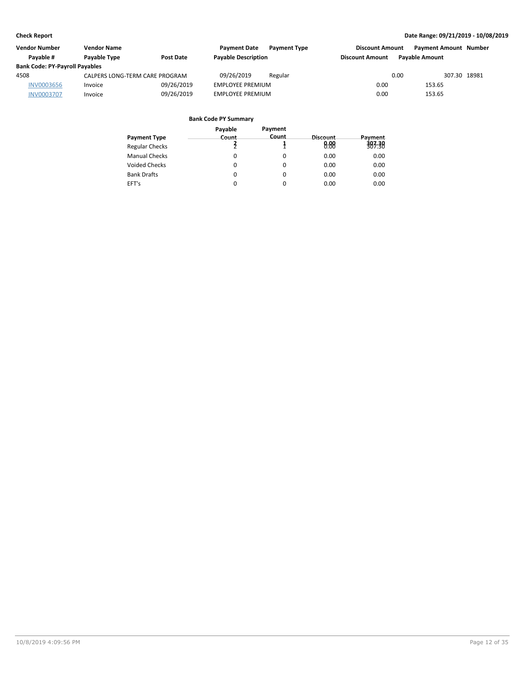| <b>Vendor Number</b>                  | <b>Vendor Name</b>             |                  | <b>Payment Date</b>        | <b>Payment Type</b> | <b>Discount Amount</b> |                       | <b>Payment Amount Number</b> |
|---------------------------------------|--------------------------------|------------------|----------------------------|---------------------|------------------------|-----------------------|------------------------------|
| Pavable #                             | Payable Type                   | <b>Post Date</b> | <b>Payable Description</b> |                     | <b>Discount Amount</b> | <b>Pavable Amount</b> |                              |
| <b>Bank Code: PY-Payroll Payables</b> |                                |                  |                            |                     |                        |                       |                              |
| 4508                                  | CALPERS LONG-TERM CARE PROGRAM |                  | 09/26/2019                 | Regular             |                        | 0.00                  | 307.30 18981                 |
| <b>INV0003656</b>                     | Invoice                        | 09/26/2019       | <b>EMPLOYEE PREMIUM</b>    |                     | 0.00                   | 153.65                |                              |
| <b>INV0003707</b>                     | Invoice                        | 09/26/2019       | <b>EMPLOYEE PREMIUM</b>    |                     | 0.00                   | 153.65                |                              |

|                       | Payable | Payment |          |         |
|-----------------------|---------|---------|----------|---------|
| <b>Payment Type</b>   | Count   | Count   | Discount | Payment |
| <b>Regular Checks</b> |         |         | 0.88     | 383.38  |
| <b>Manual Checks</b>  | 0       |         | 0.00     | 0.00    |
| Voided Checks         | 0       | 0       | 0.00     | 0.00    |
| <b>Bank Drafts</b>    | 0       | 0       | 0.00     | 0.00    |
| EFT's                 | 0       |         | 0.00     | 0.00    |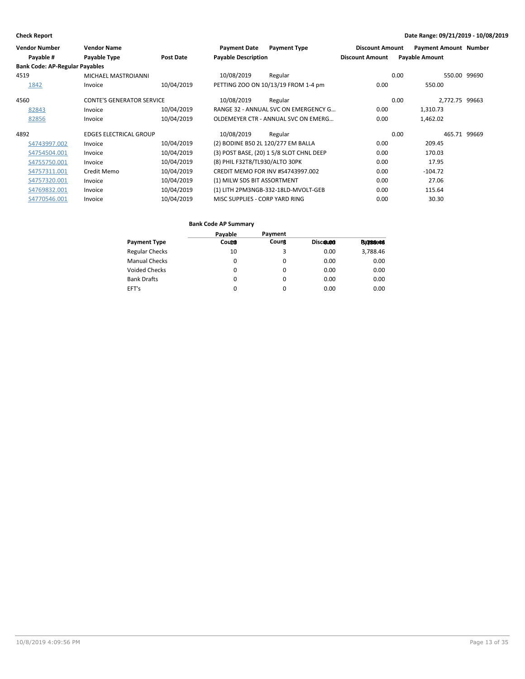| <b>Vendor Number</b>                  | <b>Vendor Name</b>               |                  | <b>Payment Date</b>                | <b>Payment Type</b>                      | <b>Discount Amount</b> | <b>Payment Amount Number</b> |              |
|---------------------------------------|----------------------------------|------------------|------------------------------------|------------------------------------------|------------------------|------------------------------|--------------|
| Payable #                             | Payable Type                     | <b>Post Date</b> | <b>Payable Description</b>         |                                          | <b>Discount Amount</b> | <b>Payable Amount</b>        |              |
| <b>Bank Code: AP-Regular Payables</b> |                                  |                  |                                    |                                          |                        |                              |              |
| 4519                                  | MICHAEL MASTROIANNI              |                  | 10/08/2019                         | Regular                                  |                        | 0.00                         | 550.00 99690 |
| 1842                                  | Invoice                          | 10/04/2019       |                                    | PETTING ZOO ON 10/13/19 FROM 1-4 pm      | 0.00                   | 550.00                       |              |
| 4560                                  | <b>CONTE'S GENERATOR SERVICE</b> |                  | 10/08/2019                         | Regular                                  |                        | 2,772.75 99663<br>0.00       |              |
| 82843                                 | Invoice                          | 10/04/2019       |                                    | RANGE 32 - ANNUAL SVC ON EMERGENCY G     | 0.00                   | 1,310.73                     |              |
| 82856                                 | Invoice                          | 10/04/2019       |                                    | OLDEMEYER CTR - ANNUAL SVC ON EMERG      | 0.00                   | 1,462.02                     |              |
| 4892                                  | <b>EDGES ELECTRICAL GROUP</b>    |                  | 10/08/2019                         | Regular                                  |                        | 0.00<br>465.71               | 99669        |
| S4743997.002                          | Invoice                          | 10/04/2019       | (2) BODINE B50 2L 120/277 EM BALLA |                                          | 0.00                   | 209.45                       |              |
| S4754504.001                          | Invoice                          | 10/04/2019       |                                    | (3) POST BASE, (20) 1 5/8 SLOT CHNL DEEP | 0.00                   | 170.03                       |              |
| S4755750.001                          | Invoice                          | 10/04/2019       | (8) PHIL F32T8/TL930/ALTO 30PK     |                                          | 0.00                   | 17.95                        |              |
| S4757311.001                          | Credit Memo                      | 10/04/2019       |                                    | CREDIT MEMO FOR INV #S4743997.002        | 0.00                   | $-104.72$                    |              |
| S4757320.001                          | Invoice                          | 10/04/2019       | (1) MILW SDS BIT ASSORTMENT        |                                          | 0.00                   | 27.06                        |              |
| S4769832.001                          | Invoice                          | 10/04/2019       |                                    | (1) LITH 2PM3NGB-332-18LD-MVOLT-GEB      | 0.00                   | 115.64                       |              |
| S4770546.001                          | Invoice                          | 10/04/2019       | MISC SUPPLIES - CORP YARD RING     |                                          | 0.00                   | 30.30                        |              |

|                       | Payable | Payment |          |                  |
|-----------------------|---------|---------|----------|------------------|
| <b>Payment Type</b>   | Count   | Count   | Discound | <b>Ba7/88e46</b> |
| <b>Regular Checks</b> | 10      | 3       | 0.00     | 3,788.46         |
| <b>Manual Checks</b>  | 0       | 0       | 0.00     | 0.00             |
| <b>Voided Checks</b>  | 0       | 0       | 0.00     | 0.00             |
| <b>Bank Drafts</b>    | 0       | 0       | 0.00     | 0.00             |
| EFT's                 | 0       | 0       | 0.00     | 0.00             |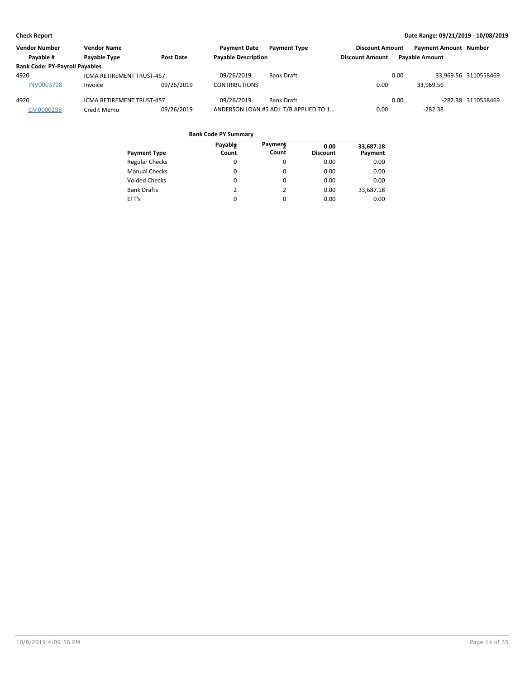| <b>Vendor Number</b>                  | <b>Vendor Name</b>               |                  | <b>Payment Date</b>        | <b>Payment Type</b>                    | <b>Discount Amount</b> |      | <b>Payment Amount Number</b> |                      |
|---------------------------------------|----------------------------------|------------------|----------------------------|----------------------------------------|------------------------|------|------------------------------|----------------------|
| Pavable #                             | Payable Type                     | <b>Post Date</b> | <b>Payable Description</b> |                                        | <b>Discount Amount</b> |      | <b>Payable Amount</b>        |                      |
| <b>Bank Code: PY-Payroll Payables</b> |                                  |                  |                            |                                        |                        |      |                              |                      |
| 4920                                  | <b>ICMA RETIREMENT TRUST-457</b> |                  | 09/26/2019                 | Bank Draft                             |                        | 0.00 |                              | 33.969.56 3110558469 |
| <b>INV0003728</b>                     | Invoice                          | 09/26/2019       | <b>CONTRIBUTIONS</b>       |                                        | 0.00                   |      | 33.969.56                    |                      |
| 4920                                  | <b>ICMA RETIREMENT TRUST-457</b> |                  | 09/26/2019                 | Bank Draft                             |                        | 0.00 |                              | -282.38 3110558469   |
| CM0000298                             | Credit Memo                      | 09/26/2019       |                            | ANDERSON LOAN #5 ADJ: T/B APPLIED TO 1 | 0.00                   |      | $-282.38$                    |                      |

| <b>Payment Type</b>   | Payable<br>Count | <b>Payment</b><br>Count | 0.00<br><b>Discount</b> | 33,687.18<br>Payment |
|-----------------------|------------------|-------------------------|-------------------------|----------------------|
| <b>Regular Checks</b> | 0                | 0                       | 0.00                    | 0.00                 |
| <b>Manual Checks</b>  | 0                | $\Omega$                | 0.00                    | 0.00                 |
| <b>Voided Checks</b>  | 0                | 0                       | 0.00                    | 0.00                 |
| <b>Bank Drafts</b>    | 2                | 2                       | 0.00                    | 33,687.18            |
| EFT's                 | 0                | 0                       | 0.00                    | 0.00                 |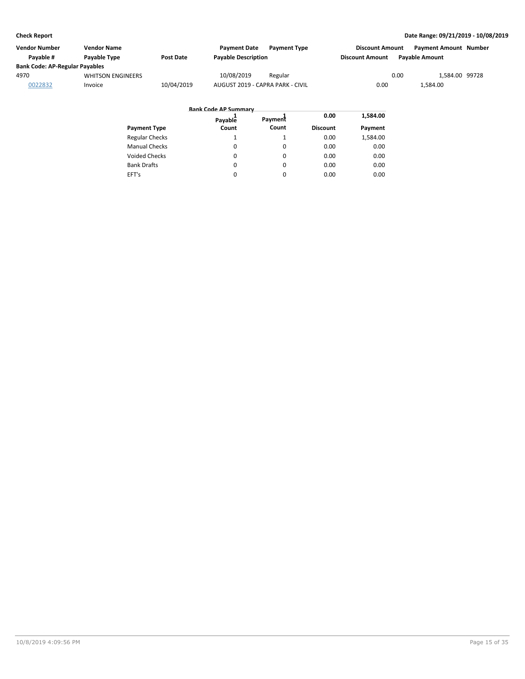| Vendor Number                         | Vendor Name              |                  | <b>Payment Date</b><br><b>Payment Type</b> | <b>Discount Amount</b> | <b>Payment Amount Number</b> |
|---------------------------------------|--------------------------|------------------|--------------------------------------------|------------------------|------------------------------|
| Pavable #                             | Payable Type             | <b>Post Date</b> | <b>Payable Description</b>                 | <b>Discount Amount</b> | <b>Pavable Amount</b>        |
| <b>Bank Code: AP-Regular Payables</b> |                          |                  |                                            |                        |                              |
| 4970                                  | <b>WHITSON ENGINEERS</b> |                  | 10/08/2019<br>Regular                      | 0.00                   | 1,584.00 99728               |
| 0022832                               | Invoice                  | 10/04/2019       | AUGUST 2019 - CAPRA PARK - CIVIL           | 0.00                   | 1,584.00                     |

|                       | <b>Bank Code AP Summary</b> |         |                 |          |
|-----------------------|-----------------------------|---------|-----------------|----------|
|                       | Payable                     | Payment | 0.00            | 1,584.00 |
| <b>Payment Type</b>   | Count                       | Count   | <b>Discount</b> | Payment  |
| <b>Regular Checks</b> | 1                           |         | 0.00            | 1,584.00 |
| <b>Manual Checks</b>  | 0                           | 0       | 0.00            | 0.00     |
| <b>Voided Checks</b>  | 0                           | 0       | 0.00            | 0.00     |
| <b>Bank Drafts</b>    | 0                           | 0       | 0.00            | 0.00     |
| EFT's                 | $\Omega$                    | 0       | 0.00            | 0.00     |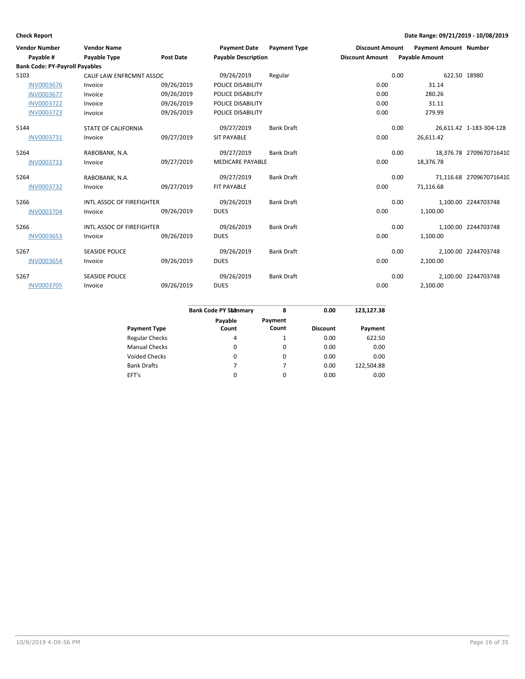| <b>Vendor Number</b><br>Payable #     | <b>Vendor Name</b><br>Payable Type | <b>Post Date</b> | <b>Payment Date</b><br><b>Payable Description</b> | <b>Payment Type</b> | <b>Discount Amount</b><br><b>Discount Amount</b> |      | <b>Payment Amount Number</b><br><b>Payable Amount</b> |                         |
|---------------------------------------|------------------------------------|------------------|---------------------------------------------------|---------------------|--------------------------------------------------|------|-------------------------------------------------------|-------------------------|
| <b>Bank Code: PY-Payroll Payables</b> |                                    |                  |                                                   |                     |                                                  |      |                                                       |                         |
| 5103                                  | CALIF LAW ENFRCMNT ASSOC           |                  | 09/26/2019                                        | Regular             |                                                  | 0.00 | 622.50 18980                                          |                         |
| <b>INV0003676</b>                     | Invoice                            | 09/26/2019       | POLICE DISABILITY                                 |                     | 0.00                                             |      | 31.14                                                 |                         |
| <b>INV0003677</b>                     | Invoice                            | 09/26/2019       | POLICE DISABILITY                                 |                     | 0.00                                             |      | 280.26                                                |                         |
| <b>INV0003722</b>                     | Invoice                            | 09/26/2019       | POLICE DISABILITY                                 |                     | 0.00                                             |      | 31.11                                                 |                         |
| <b>INV0003723</b>                     | Invoice                            | 09/26/2019       | POLICE DISABILITY                                 |                     | 0.00                                             |      | 279.99                                                |                         |
| 5144                                  | <b>STATE OF CALIFORNIA</b>         |                  | 09/27/2019                                        | <b>Bank Draft</b>   |                                                  | 0.00 |                                                       | 26,611.42 1-183-304-128 |
| INV0003731                            | Invoice                            | 09/27/2019       | <b>SIT PAYABLE</b>                                |                     | 0.00                                             |      | 26,611.42                                             |                         |
| 5264                                  | RABOBANK, N.A.                     |                  | 09/27/2019                                        | <b>Bank Draft</b>   |                                                  | 0.00 |                                                       | 18,376.78 2709670716410 |
| <b>INV0003733</b>                     | Invoice                            | 09/27/2019       | <b>MEDICARE PAYABLE</b>                           |                     | 0.00                                             |      | 18,376.78                                             |                         |
| 5264                                  | RABOBANK, N.A.                     |                  | 09/27/2019                                        | <b>Bank Draft</b>   |                                                  | 0.00 |                                                       | 71,116.68 2709670716410 |
| <b>INV0003732</b>                     | Invoice                            | 09/27/2019       | FIT PAYABLE                                       |                     | 0.00                                             |      | 71,116.68                                             |                         |
| 5266                                  | INTL ASSOC OF FIREFIGHTER          |                  | 09/26/2019                                        | <b>Bank Draft</b>   |                                                  | 0.00 |                                                       | 1,100.00 2244703748     |
| <b>INV0003704</b>                     | Invoice                            | 09/26/2019       | <b>DUES</b>                                       |                     | 0.00                                             |      | 1,100.00                                              |                         |
| 5266                                  | INTL ASSOC OF FIREFIGHTER          |                  | 09/26/2019                                        | <b>Bank Draft</b>   |                                                  | 0.00 |                                                       | 1,100.00 2244703748     |
| <b>INV0003653</b>                     | Invoice                            | 09/26/2019       | <b>DUES</b>                                       |                     | 0.00                                             |      | 1,100.00                                              |                         |
| 5267                                  | <b>SEASIDE POLICE</b>              |                  | 09/26/2019                                        | <b>Bank Draft</b>   |                                                  | 0.00 |                                                       | 2,100.00 2244703748     |
| <b>INV0003654</b>                     | Invoice                            | 09/26/2019       | <b>DUES</b>                                       |                     | 0.00                                             |      | 2,100.00                                              |                         |
| 5267                                  | <b>SEASIDE POLICE</b>              |                  | 09/26/2019                                        | <b>Bank Draft</b>   |                                                  | 0.00 |                                                       | 2,100.00 2244703748     |
| <b>INV0003705</b>                     | Invoice                            | 09/26/2019       | <b>DUES</b>                                       |                     | 0.00                                             |      | 2,100.00                                              |                         |
|                                       |                                    |                  |                                                   |                     |                                                  |      |                                                       |                         |

|                       | <b>Bank Code PY S11mmary</b> | 8       | 0.00            | 123,127.38 |
|-----------------------|------------------------------|---------|-----------------|------------|
|                       | Payable                      | Payment |                 |            |
| <b>Payment Type</b>   | Count                        | Count   | <b>Discount</b> | Payment    |
| <b>Regular Checks</b> | 4                            |         | 0.00            | 622.50     |
| <b>Manual Checks</b>  | 0                            | 0       | 0.00            | 0.00       |
| <b>Voided Checks</b>  | 0                            | 0       | 0.00            | 0.00       |
| <b>Bank Drafts</b>    |                              | 7       | 0.00            | 122.504.88 |
| EFT's                 | 0                            | 0       | 0.00            | 0.00       |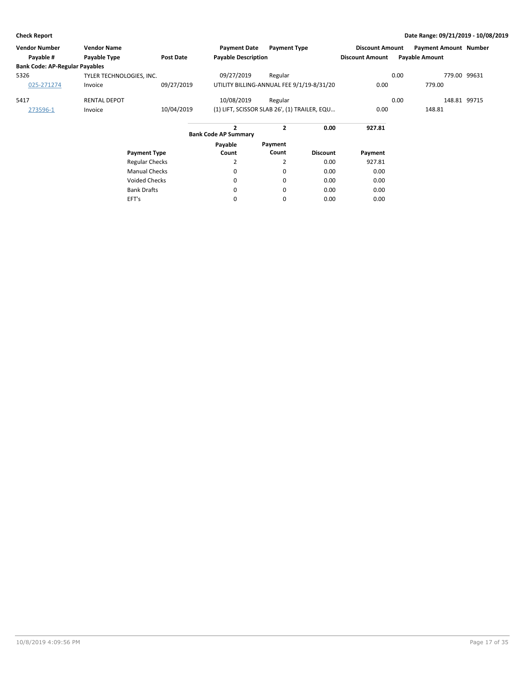| <b>Vendor Number</b>                  | <b>Vendor Name</b>       |                  | <b>Payment Date</b>                          | <b>Payment Type</b> |                 | <b>Discount Amount</b> |      | <b>Payment Amount Number</b> |              |
|---------------------------------------|--------------------------|------------------|----------------------------------------------|---------------------|-----------------|------------------------|------|------------------------------|--------------|
| Payable #                             | Payable Type             | <b>Post Date</b> | <b>Payable Description</b>                   |                     |                 | <b>Discount Amount</b> |      | <b>Payable Amount</b>        |              |
| <b>Bank Code: AP-Regular Payables</b> |                          |                  |                                              |                     |                 |                        |      |                              |              |
| 5326                                  | TYLER TECHNOLOGIES, INC. |                  | 09/27/2019                                   | Regular             |                 |                        | 0.00 |                              | 779.00 99631 |
| 025-271274                            | Invoice                  | 09/27/2019       | UTILITY BILLING-ANNUAL FEE 9/1/19-8/31/20    |                     |                 | 0.00                   |      | 779.00                       |              |
| 5417                                  | <b>RENTAL DEPOT</b>      |                  | 10/08/2019                                   | Regular             |                 |                        | 0.00 |                              | 148.81 99715 |
| 273596-1                              | Invoice                  | 10/04/2019       | (1) LIFT, SCISSOR SLAB 26', (1) TRAILER, EQU |                     |                 | 0.00                   |      | 148.81                       |              |
|                                       |                          |                  | $\mathbf{z}$<br><b>Bank Code AP Summary</b>  | $\mathbf{2}$        | 0.00            | 927.81                 |      |                              |              |
|                                       |                          |                  | Payable                                      | Payment             |                 |                        |      |                              |              |
|                                       | <b>Payment Type</b>      |                  | Count                                        | Count               | <b>Discount</b> | Payment                |      |                              |              |
|                                       | <b>Regular Checks</b>    |                  | $\overline{2}$                               | $\overline{2}$      | 0.00            | 927.81                 |      |                              |              |
|                                       | <b>Manual Checks</b>     |                  | 0                                            | 0                   | 0.00            | 0.00                   |      |                              |              |
|                                       | <b>Voided Checks</b>     |                  | 0                                            | 0                   | 0.00            | 0.00                   |      |                              |              |
|                                       | <b>Bank Drafts</b>       |                  | 0                                            | 0                   | 0.00            | 0.00                   |      |                              |              |
|                                       | EFT's                    |                  | 0                                            | 0                   | 0.00            | 0.00                   |      |                              |              |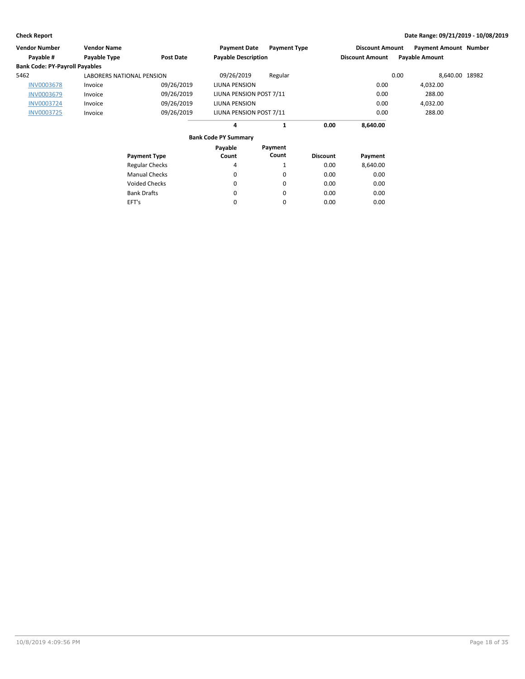| Vendor Number                         | <b>Vendor Name</b>        |                       | <b>Payment Date</b>         | <b>Payment Type</b> |                 | <b>Discount Amount</b> |      | <b>Payment Amount Number</b> |  |
|---------------------------------------|---------------------------|-----------------------|-----------------------------|---------------------|-----------------|------------------------|------|------------------------------|--|
| Payable #                             | Payable Type              | <b>Post Date</b>      | <b>Payable Description</b>  |                     |                 | <b>Discount Amount</b> |      | <b>Payable Amount</b>        |  |
| <b>Bank Code: PY-Payroll Payables</b> |                           |                       |                             |                     |                 |                        |      |                              |  |
| 5462                                  | LABORERS NATIONAL PENSION |                       | 09/26/2019                  | Regular             |                 |                        | 0.00 | 8,640.00 18982               |  |
| <b>INV0003678</b>                     | Invoice                   | 09/26/2019            | LIUNA PENSION               |                     |                 | 0.00                   |      | 4,032.00                     |  |
| <b>INV0003679</b>                     | Invoice                   | 09/26/2019            | LIUNA PENSION POST 7/11     |                     |                 | 0.00                   |      | 288.00                       |  |
| <b>INV0003724</b>                     | Invoice                   | 09/26/2019            | LIUNA PENSION               |                     |                 | 0.00                   |      | 4,032.00                     |  |
| <b>INV0003725</b>                     | Invoice                   | 09/26/2019            | LIUNA PENSION POST 7/11     |                     |                 | 0.00                   |      | 288.00                       |  |
|                                       |                           |                       | 4                           | 1                   | 0.00            | 8,640.00               |      |                              |  |
|                                       |                           |                       | <b>Bank Code PY Summary</b> |                     |                 |                        |      |                              |  |
|                                       |                           |                       | Payable                     | Payment             |                 |                        |      |                              |  |
|                                       |                           | <b>Payment Type</b>   | Count                       | Count               | <b>Discount</b> | Payment                |      |                              |  |
|                                       |                           | <b>Regular Checks</b> | 4                           | 1                   | 0.00            | 8,640.00               |      |                              |  |
|                                       |                           | <b>Manual Checks</b>  | 0                           | 0                   | 0.00            | 0.00                   |      |                              |  |
|                                       |                           | <b>Voided Checks</b>  | 0                           | 0                   | 0.00            | 0.00                   |      |                              |  |
|                                       |                           | <b>Bank Drafts</b>    | 0                           | 0                   | 0.00            | 0.00                   |      |                              |  |
|                                       | EFT's                     |                       | 0                           | 0                   | 0.00            | 0.00                   |      |                              |  |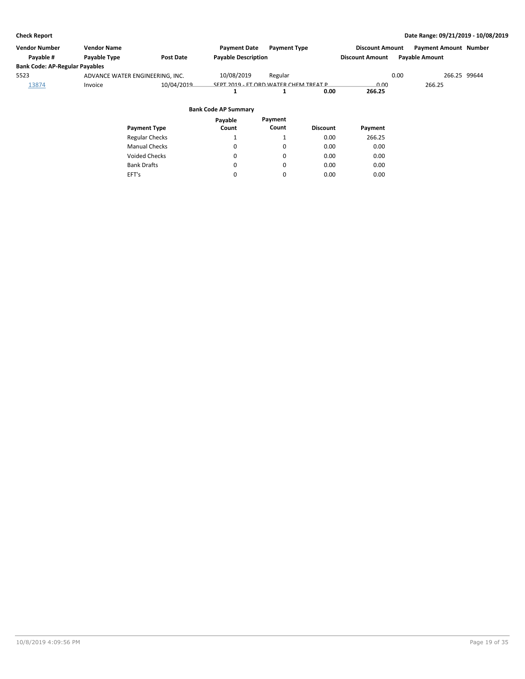| Vendor Number                         | <b>Vendor Name</b>              |                       | <b>Payment Date</b>                   | <b>Payment Type</b> |                 | <b>Discount Amount</b> | <b>Payment Amount Number</b> |              |
|---------------------------------------|---------------------------------|-----------------------|---------------------------------------|---------------------|-----------------|------------------------|------------------------------|--------------|
| Payable #                             | Payable Type                    | Post Date             | <b>Payable Description</b>            |                     |                 | <b>Discount Amount</b> | <b>Payable Amount</b>        |              |
| <b>Bank Code: AP-Regular Payables</b> |                                 |                       |                                       |                     |                 |                        |                              |              |
| 5523                                  | ADVANCE WATER ENGINEERING, INC. |                       | 10/08/2019                            | Regular             |                 |                        | 0.00                         | 266.25 99644 |
| 13874                                 | Invoice                         | 10/04/2019            | SEPT 2019 - FT ORD WATER CHEM TREAT P |                     |                 | 0.00                   | 266.25                       |              |
|                                       |                                 |                       |                                       |                     | 0.00            | 266.25                 |                              |              |
|                                       |                                 |                       | <b>Bank Code AP Summary</b>           |                     |                 |                        |                              |              |
|                                       |                                 |                       | Payable                               | Payment             |                 |                        |                              |              |
|                                       |                                 | <b>Payment Type</b>   | Count                                 | Count               | <b>Discount</b> | Payment                |                              |              |
|                                       |                                 | <b>Regular Checks</b> |                                       |                     | 0.00            | 266.25                 |                              |              |

0.00 0.00 0.00 0.00

0.00 0.00 0.00 0.00

Manual Checks Voided Checks

Bank Drafts EFT's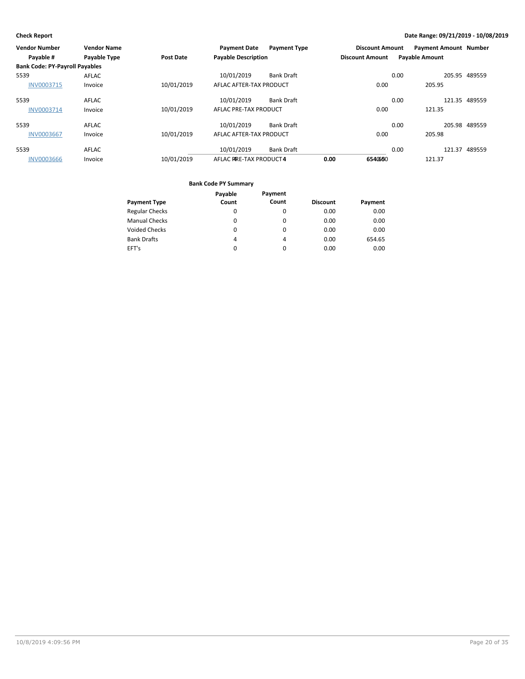| Vendor Number                         | <b>Vendor Name</b>  |                  | <b>Payment Date</b>        | <b>Payment Type</b> |                        | <b>Discount Amount</b> | <b>Payment Amount Number</b> |               |
|---------------------------------------|---------------------|------------------|----------------------------|---------------------|------------------------|------------------------|------------------------------|---------------|
| Payable #                             | <b>Payable Type</b> | <b>Post Date</b> | <b>Payable Description</b> |                     | <b>Discount Amount</b> |                        | <b>Payable Amount</b>        |               |
| <b>Bank Code: PY-Payroll Payables</b> |                     |                  |                            |                     |                        |                        |                              |               |
| 5539                                  | AFLAC               |                  | 10/01/2019                 | <b>Bank Draft</b>   |                        | 0.00                   |                              | 205.95 489559 |
| <b>INV0003715</b>                     | Invoice             | 10/01/2019       | AFLAC AFTER-TAX PRODUCT    |                     |                        | 0.00                   | 205.95                       |               |
| 5539                                  | <b>AFLAC</b>        |                  | 10/01/2019                 | <b>Bank Draft</b>   |                        | 0.00                   |                              | 121.35 489559 |
| INV0003714                            | Invoice             | 10/01/2019       | AFLAC PRE-TAX PRODUCT      |                     |                        | 0.00                   | 121.35                       |               |
| 5539                                  | <b>AFLAC</b>        |                  | 10/01/2019                 | <b>Bank Draft</b>   |                        | 0.00                   |                              | 205.98 489559 |
| <b>INV0003667</b>                     | Invoice             | 10/01/2019       | AFLAC AFTER-TAX PRODUCT    |                     |                        | 0.00                   | 205.98                       |               |
| 5539                                  | <b>AFLAC</b>        |                  | 10/01/2019                 | <b>Bank Draft</b>   |                        | 0.00                   |                              | 121.37 489559 |
| <b>INV0003666</b>                     | Invoice             | 10/01/2019       | AFLAC PRE-TAX PRODUCT4     |                     | 0.00                   | 6540660                | 121.37                       |               |

|                       | Payable | Payment  |                 |         |
|-----------------------|---------|----------|-----------------|---------|
| <b>Payment Type</b>   | Count   | Count    | <b>Discount</b> | Payment |
| <b>Regular Checks</b> | 0       | 0        | 0.00            | 0.00    |
| <b>Manual Checks</b>  | 0       | 0        | 0.00            | 0.00    |
| <b>Voided Checks</b>  | 0       | 0        | 0.00            | 0.00    |
| <b>Bank Drafts</b>    | 4       | 4        | 0.00            | 654.65  |
| EFT's                 | 0       | $\Omega$ | 0.00            | 0.00    |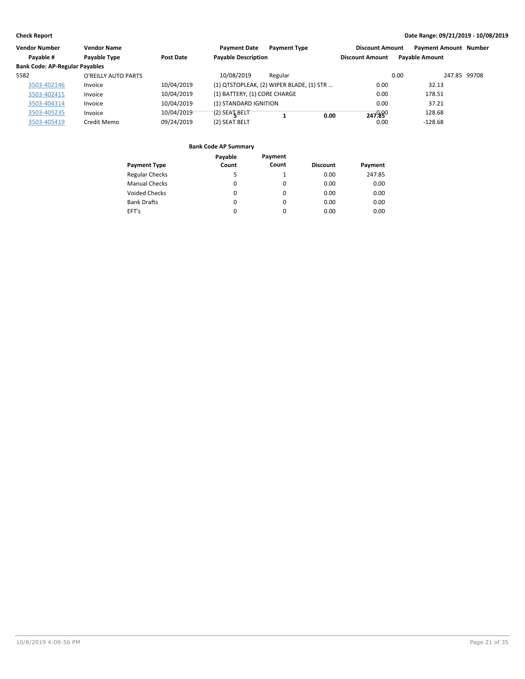| Vendor Number                         | <b>Vendor Name</b>  |            | <b>Payment Date</b>          | <b>Payment Type</b>                      | <b>Discount Amount</b> | <b>Payment Amount Number</b> |              |
|---------------------------------------|---------------------|------------|------------------------------|------------------------------------------|------------------------|------------------------------|--------------|
| Payable #                             | Payable Type        | Post Date  | <b>Payable Description</b>   |                                          | <b>Discount Amount</b> | <b>Payable Amount</b>        |              |
| <b>Bank Code: AP-Regular Payables</b> |                     |            |                              |                                          |                        |                              |              |
| 5582                                  | O'REILLY AUTO PARTS |            | 10/08/2019                   | Regular                                  |                        | 0.00                         | 247.85 99708 |
| 3503-402146                           | Invoice             | 10/04/2019 |                              | (1) QTSTOPLEAK, (2) WIPER BLADE, (1) STR | 0.00                   | 32.13                        |              |
| 3503-402415                           | Invoice             | 10/04/2019 | (1) BATTERY, (1) CORE CHARGE |                                          | 0.00                   | 178.51                       |              |
| 3503-404314                           | Invoice             | 10/04/2019 | (1) STANDARD IGNITION        |                                          | 0.00                   | 37.21                        |              |
| 3503-405235                           | Invoice             | 10/04/2019 | $(2)$ SEAT BELT              | 0.00                                     | 247.890                | 128.68                       |              |
| 3503-405419                           | Credit Memo         | 09/24/2019 | (2) SEAT BELT                |                                          | 0.00                   | $-128.68$                    |              |

|                       | Payable  | Payment  |                 |         |
|-----------------------|----------|----------|-----------------|---------|
| <b>Payment Type</b>   | Count    | Count    | <b>Discount</b> | Payment |
| <b>Regular Checks</b> | 5        |          | 0.00            | 247.85  |
| <b>Manual Checks</b>  | $\Omega$ | $\Omega$ | 0.00            | 0.00    |
| <b>Voided Checks</b>  | 0        | 0        | 0.00            | 0.00    |
| <b>Bank Drafts</b>    | 0        | $\Omega$ | 0.00            | 0.00    |
| EFT's                 | 0        | $\Omega$ | 0.00            | 0.00    |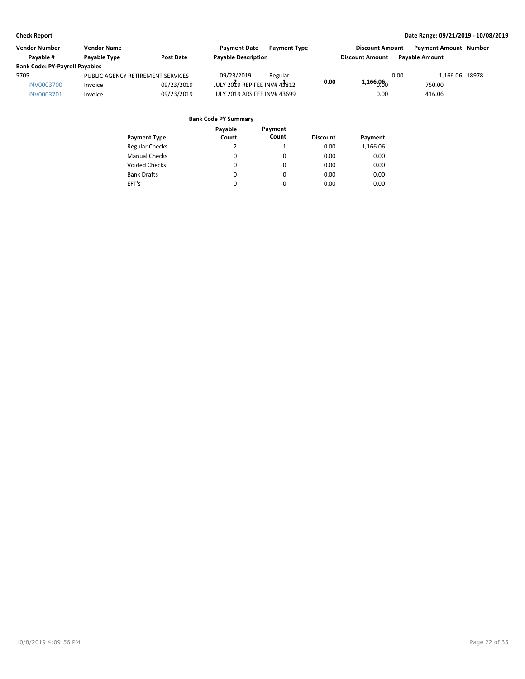| Vendor Number                         | <b>Vendor Name</b>                |                  | <b>Payment Date</b><br><b>Payment Type</b> |      | <b>Discount Amount</b> |      | <b>Payment Amount Number</b> |  |
|---------------------------------------|-----------------------------------|------------------|--------------------------------------------|------|------------------------|------|------------------------------|--|
| Pavable #                             | Payable Type                      | <b>Post Date</b> | <b>Payable Description</b>                 |      | <b>Discount Amount</b> |      | <b>Pavable Amount</b>        |  |
| <b>Bank Code: PY-Payroll Payables</b> |                                   |                  |                                            |      |                        |      |                              |  |
| 5705                                  | PUBLIC AGENCY RETIREMENT SERVICES |                  | 09/23/2019<br>Regular                      |      |                        | 0.00 | 1.166.06 18978               |  |
| <b>INV0003700</b>                     | Invoice                           | 09/23/2019       | JULY 2019 REP FEE INV# 43812               | 0.00 | 1,166000               |      | 750.00                       |  |
| <b>INV0003701</b>                     | Invoice                           | 09/23/2019       | JULY 2019 ARS FEE INV# 43699               |      | 0.00                   |      | 416.06                       |  |

| <b>Payment Type</b>   | Payable<br>Count | Payment<br>Count | <b>Discount</b> | Payment  |
|-----------------------|------------------|------------------|-----------------|----------|
| <b>Regular Checks</b> | 2                |                  | 0.00            | 1,166.06 |
| <b>Manual Checks</b>  | 0                | 0                | 0.00            | 0.00     |
| <b>Voided Checks</b>  | $\Omega$         | 0                | 0.00            | 0.00     |
| <b>Bank Drafts</b>    | 0                | 0                | 0.00            | 0.00     |
| EFT's                 | $\Omega$         | 0                | 0.00            | 0.00     |
|                       |                  |                  |                 |          |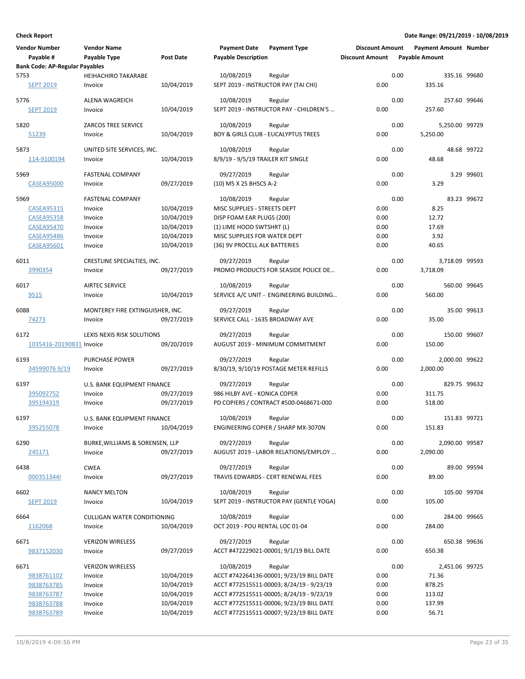| <b>Vendor Number</b><br>Payable #     | <b>Vendor Name</b><br>Payable Type | <b>Post Date</b> | <b>Payment Date</b><br><b>Payable Description</b> | <b>Payment Type</b>                               | <b>Discount Amount</b><br><b>Discount Amount</b> |      | <b>Payment Amount Number</b><br><b>Payable Amount</b> |             |
|---------------------------------------|------------------------------------|------------------|---------------------------------------------------|---------------------------------------------------|--------------------------------------------------|------|-------------------------------------------------------|-------------|
| <b>Bank Code: AP-Regular Payables</b> |                                    |                  |                                                   |                                                   |                                                  |      |                                                       |             |
| 5753                                  | <b>HEIHACHIRO TAKARABE</b>         |                  | 10/08/2019                                        | Regular                                           |                                                  | 0.00 | 335.16 99680                                          |             |
| <b>SEPT 2019</b>                      | Invoice                            | 10/04/2019       | SEPT 2019 - INSTRUCTOR PAY (TAI CHI)              |                                                   | 0.00                                             |      | 335.16                                                |             |
| 5776                                  | ALENA WAGREICH                     |                  | 10/08/2019                                        | Regular                                           |                                                  | 0.00 | 257.60 99646                                          |             |
| <b>SEPT 2019</b>                      | Invoice                            | 10/04/2019       |                                                   | SEPT 2019 - INSTRUCTOR PAY - CHILDREN'S           | 0.00                                             |      | 257.60                                                |             |
|                                       |                                    |                  |                                                   |                                                   |                                                  |      |                                                       |             |
| 5820                                  | <b>ZARCOS TREE SERVICE</b>         |                  | 10/08/2019                                        | Regular                                           |                                                  | 0.00 | 5,250.00 99729                                        |             |
| 51239                                 | Invoice                            | 10/04/2019       |                                                   | BOY & GIRLS CLUB - EUCALYPTUS TREES               | 0.00                                             |      | 5,250.00                                              |             |
| 5873                                  | UNITED SITE SERVICES, INC.         |                  | 10/08/2019                                        | Regular                                           |                                                  | 0.00 |                                                       | 48.68 99722 |
| 114-9100194                           | Invoice                            | 10/04/2019       | 8/9/19 - 9/5/19 TRAILER KIT SINGLE                |                                                   | 0.00                                             |      | 48.68                                                 |             |
|                                       |                                    |                  |                                                   |                                                   |                                                  |      |                                                       |             |
| 5969                                  | <b>FASTENAL COMPANY</b>            |                  | 09/27/2019                                        | Regular                                           |                                                  | 0.00 |                                                       | 3.29 99601  |
| <b>CASEA95000</b>                     | Invoice                            | 09/27/2019       | (10) M5 X 25 BHSCS A-2                            |                                                   | 0.00                                             |      | 3.29                                                  |             |
| 5969                                  | <b>FASTENAL COMPANY</b>            |                  | 10/08/2019                                        | Regular                                           |                                                  | 0.00 |                                                       | 83.23 99672 |
| <b>CASEA95315</b>                     | Invoice                            | 10/04/2019       | MISC SUPPLIES - STREETS DEPT                      |                                                   | 0.00                                             |      | 8.25                                                  |             |
| <b>CASEA95358</b>                     | Invoice                            | 10/04/2019       | DISP FOAM EAR PLUGS (200)                         |                                                   | 0.00                                             |      | 12.72                                                 |             |
| <b>CASEA95470</b>                     | Invoice                            | 10/04/2019       | (1) LIME HOOD SWTSHRT (L)                         |                                                   | 0.00                                             |      | 17.69                                                 |             |
| <b>CASEA95486</b>                     | Invoice                            | 10/04/2019       | MISC SUPPLIES FOR WATER DEPT                      |                                                   | 0.00                                             |      | 3.92                                                  |             |
| <b>CASEA95601</b>                     | Invoice                            | 10/04/2019       | (36) 9V PROCELL ALK BATTERIES                     |                                                   | 0.00                                             |      | 40.65                                                 |             |
|                                       |                                    |                  |                                                   |                                                   |                                                  |      |                                                       |             |
| 6011                                  | CRESTLINE SPECIALTIES, INC.        |                  | 09/27/2019                                        | Regular                                           |                                                  | 0.00 | 3,718.09 99593                                        |             |
| 3990354                               | Invoice                            | 09/27/2019       |                                                   | PROMO PRODUCTS FOR SEASIDE POLICE DE              | 0.00                                             |      | 3,718.09                                              |             |
| 6017                                  | <b>AIRTEC SERVICE</b>              |                  | 10/08/2019                                        | Regular                                           |                                                  | 0.00 | 560.00 99645                                          |             |
| <u>9515</u>                           | Invoice                            | 10/04/2019       |                                                   | SERVICE A/C UNIT - ENGINEERING BUILDING           | 0.00                                             |      | 560.00                                                |             |
|                                       |                                    |                  |                                                   |                                                   |                                                  |      |                                                       |             |
| 6088                                  | MONTEREY FIRE EXTINGUISHER, INC.   |                  | 09/27/2019                                        | Regular                                           | 0.00                                             | 0.00 | 35.00                                                 | 35.00 99613 |
| 74273                                 | Invoice                            | 09/27/2019       | SERVICE CALL - 1635 BROADWAY AVE                  |                                                   |                                                  |      |                                                       |             |
| 6172                                  | LEXIS NEXIS RISK SOLUTIONS         |                  | 09/27/2019                                        | Regular                                           |                                                  | 0.00 | 150.00 99607                                          |             |
| 1035416-20190831 Invoice              |                                    | 09/20/2019       |                                                   | AUGUST 2019 - MINIMUM COMMITMENT                  | 0.00                                             |      | 150.00                                                |             |
|                                       |                                    |                  |                                                   |                                                   |                                                  |      |                                                       |             |
| 6193<br>345990769/19                  | PURCHASE POWER<br>Invoice          | 09/27/2019       | 09/27/2019                                        | Regular<br>8/30/19, 9/10/19 POSTAGE METER REFILLS | 0.00                                             | 0.00 | 2,000.00 99622<br>2,000.00                            |             |
|                                       |                                    |                  |                                                   |                                                   |                                                  |      |                                                       |             |
| 6197                                  | U.S. BANK EQUIPMENT FINANCE        |                  | 09/27/2019                                        | Regular                                           |                                                  | 0.00 | 829.75 99632                                          |             |
| 395092752                             | Invoice                            | 09/27/2019       | 986 HILBY AVE - KONICA COPER                      |                                                   | 0.00                                             |      | 311.75                                                |             |
| 395194319                             | Invoice                            | 09/27/2019       |                                                   | PD COPIERS / CONTRACT #500-0468671-000            | 0.00                                             |      | 518.00                                                |             |
| 6197                                  | U.S. BANK EQUIPMENT FINANCE        |                  | 10/08/2019                                        | Regular                                           |                                                  | 0.00 | 151.83 99721                                          |             |
| <u>395255078</u>                      | Invoice                            | 10/04/2019       |                                                   | ENGINEERING COPIER / SHARP MX-3070N               | 0.00                                             |      | 151.83                                                |             |
|                                       |                                    |                  |                                                   |                                                   |                                                  |      |                                                       |             |
| 6290                                  | BURKE, WILLIAMS & SORENSEN, LLP    |                  | 09/27/2019                                        | Regular                                           |                                                  | 0.00 | 2,090.00 99587                                        |             |
| 245171                                | Invoice                            | 09/27/2019       |                                                   | AUGUST 2019 - LABOR RELATIONS/EMPLOY              | 0.00                                             |      | 2,090.00                                              |             |
| 6438                                  | <b>CWEA</b>                        |                  | 09/27/2019                                        | Regular                                           |                                                  | 0.00 |                                                       | 89.00 99594 |
| 0003513441                            | Invoice                            | 09/27/2019       |                                                   | TRAVIS EDWARDS - CERT RENEWAL FEES                | 0.00                                             |      | 89.00                                                 |             |
|                                       |                                    |                  |                                                   |                                                   |                                                  |      |                                                       |             |
| 6602                                  | <b>NANCY MELTON</b>                |                  | 10/08/2019                                        | Regular                                           |                                                  | 0.00 | 105.00 99704                                          |             |
| <b>SEPT 2019</b>                      | Invoice                            | 10/04/2019       |                                                   | SEPT 2019 - INSTRUCTOR PAY (GENTLE YOGA)          | 0.00                                             |      | 105.00                                                |             |
| 6664                                  | <b>CULLIGAN WATER CONDITIONING</b> |                  | 10/08/2019                                        | Regular                                           |                                                  | 0.00 | 284.00 99665                                          |             |
| 1162068                               | Invoice                            | 10/04/2019       | OCT 2019 - POU RENTAL LOC 01-04                   |                                                   | 0.00                                             |      | 284.00                                                |             |
|                                       |                                    |                  |                                                   |                                                   |                                                  |      |                                                       |             |
| 6671                                  | <b>VERIZON WIRELESS</b>            |                  | 09/27/2019                                        | Regular                                           |                                                  | 0.00 | 650.38 99636                                          |             |
| 9837152030                            | Invoice                            | 09/27/2019       |                                                   | ACCT #472229021-00001; 9/1/19 BILL DATE           | 0.00                                             |      | 650.38                                                |             |
| 6671                                  | <b>VERIZON WIRELESS</b>            |                  | 10/08/2019                                        | Regular                                           |                                                  | 0.00 | 2,451.06 99725                                        |             |
| 9838761102                            | Invoice                            | 10/04/2019       |                                                   | ACCT #742264136-00001; 9/23/19 BILL DATE          | 0.00                                             |      | 71.36                                                 |             |
| 9838763785                            | Invoice                            | 10/04/2019       |                                                   | ACCT #772515511-00003; 8/24/19 - 9/23/19          | 0.00                                             |      | 878.25                                                |             |
| 9838763787                            | Invoice                            | 10/04/2019       |                                                   | ACCT #772515511-00005; 8/24/19 - 9/23/19          | 0.00                                             |      | 113.02                                                |             |
| 9838763788                            | Invoice                            | 10/04/2019       |                                                   | ACCT #772515511-00006; 9/23/19 BILL DATE          | 0.00                                             |      | 137.99                                                |             |
| 9838763789                            | Invoice                            | 10/04/2019       |                                                   | ACCT #772515511-00007; 9/23/19 BILL DATE          | 0.00                                             |      | 56.71                                                 |             |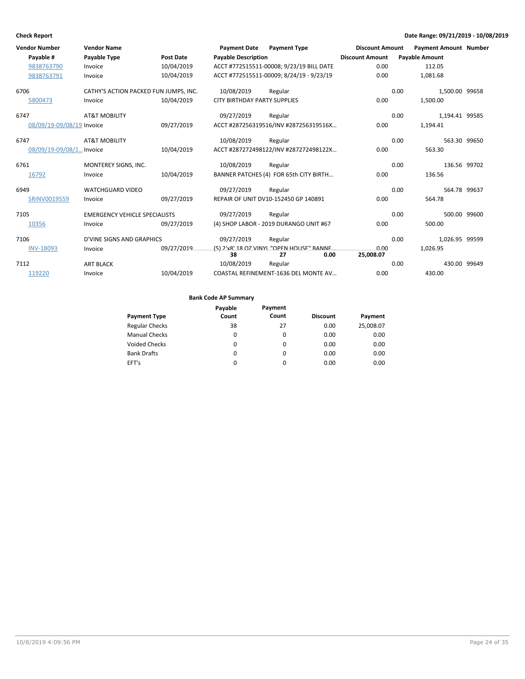|      | <b>Vendor Number</b>      | <b>Vendor Name</b>                    |            | <b>Payment Date</b>                 | <b>Payment Type</b>                                     | <b>Discount Amount</b> |      | <b>Payment Amount Number</b> |  |
|------|---------------------------|---------------------------------------|------------|-------------------------------------|---------------------------------------------------------|------------------------|------|------------------------------|--|
|      | Payable #                 | <b>Payable Type</b>                   | Post Date  | <b>Payable Description</b>          |                                                         | <b>Discount Amount</b> |      | <b>Payable Amount</b>        |  |
|      | 9838763790                | Invoice                               | 10/04/2019 |                                     | ACCT #772515511-00008; 9/23/19 BILL DATE                | 0.00                   |      | 112.05                       |  |
|      | 9838763791                | Invoice                               | 10/04/2019 |                                     | ACCT #772515511-00009; 8/24/19 - 9/23/19                | 0.00                   |      | 1,081.68                     |  |
| 6706 |                           | CATHY'S ACTION PACKED FUN JUMPS. INC. |            | 10/08/2019                          | Regular                                                 |                        | 0.00 | 1.500.00 99658               |  |
|      | 5800473                   | Invoice                               | 10/04/2019 | <b>CITY BIRTHDAY PARTY SUPPLIES</b> |                                                         | 0.00                   |      | 1,500.00                     |  |
| 6747 |                           | <b>AT&amp;T MOBILITY</b>              |            | 09/27/2019                          | Regular                                                 |                        | 0.00 | 1,194.41 99585               |  |
|      | 08/09/19-09/08/19 Invoice |                                       | 09/27/2019 |                                     | ACCT #287256319516/INV #287256319516X                   | 0.00                   |      | 1,194.41                     |  |
| 6747 |                           | <b>AT&amp;T MOBILITY</b>              |            | 10/08/2019                          | Regular                                                 |                        | 0.00 | 563.30 99650                 |  |
|      | 08/09/19-09/08/1 Invoice  |                                       | 10/04/2019 |                                     | ACCT #287272498122/INV #287272498122X                   | 0.00                   |      | 563.30                       |  |
| 6761 |                           | MONTEREY SIGNS, INC.                  |            | 10/08/2019                          | Regular                                                 |                        | 0.00 | 136.56 99702                 |  |
|      | 16792                     | Invoice                               | 10/04/2019 |                                     | BANNER PATCHES (4) FOR 65th CITY BIRTH                  | 0.00                   |      | 136.56                       |  |
| 6949 |                           | <b>WATCHGUARD VIDEO</b>               |            | 09/27/2019                          | Regular                                                 |                        | 0.00 | 564.78 99637                 |  |
|      | SRINV0019559              | Invoice                               | 09/27/2019 |                                     | REPAIR OF UNIT DV10-152450 GP 140891                    | 0.00                   |      | 564.78                       |  |
| 7105 |                           | <b>EMERGENCY VEHICLE SPECIALISTS</b>  |            | 09/27/2019                          | Regular                                                 |                        | 0.00 | 500.00 99600                 |  |
|      | 10356                     | Invoice                               | 09/27/2019 |                                     | (4) SHOP LABOR - 2019 DURANGO UNIT #67                  | 0.00                   |      | 500.00                       |  |
| 7106 |                           | <b>D'VINE SIGNS AND GRAPHICS</b>      |            | 09/27/2019                          | Regular                                                 |                        | 0.00 | 1,026.95 99599               |  |
|      | <b>INV-18093</b>          | Invoice                               | 09/27/2019 | 38                                  | (5) 2'x8' 18 OZ VINYL "OPEN HOUSE" RANNE.<br>0.00<br>27 | 0.00<br>25,008.07      |      | 1,026.95                     |  |
| 7112 |                           | <b>ART BLACK</b>                      |            | 10/08/2019                          | Regular                                                 |                        | 0.00 | 430.00 99649                 |  |
|      | 119220                    | Invoice                               | 10/04/2019 |                                     | COASTAL REFINEMENT-1636 DEL MONTE AV                    | 0.00                   |      | 430.00                       |  |

|                       | Payable | Payment  |                 |           |
|-----------------------|---------|----------|-----------------|-----------|
| <b>Payment Type</b>   | Count   | Count    | <b>Discount</b> | Payment   |
| <b>Regular Checks</b> | 38      | 27       | 0.00            | 25,008.07 |
| <b>Manual Checks</b>  | 0       | 0        | 0.00            | 0.00      |
| <b>Voided Checks</b>  | 0       | 0        | 0.00            | 0.00      |
| <b>Bank Drafts</b>    | 0       | $\Omega$ | 0.00            | 0.00      |
| EFT's                 | 0       | 0        | 0.00            | 0.00      |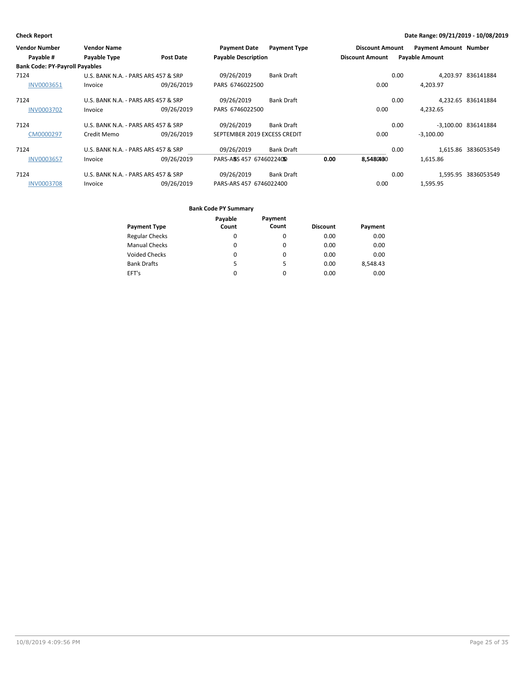| <b>Vendor Number</b>                  | <b>Vendor Name</b>                  |                  | <b>Payment Date</b>          | <b>Payment Type</b> |      | <b>Discount Amount</b> |      | <b>Payment Amount Number</b> |                     |
|---------------------------------------|-------------------------------------|------------------|------------------------------|---------------------|------|------------------------|------|------------------------------|---------------------|
| Payable #                             | Payable Type                        | <b>Post Date</b> | <b>Payable Description</b>   |                     |      | <b>Discount Amount</b> |      | <b>Payable Amount</b>        |                     |
| <b>Bank Code: PY-Payroll Payables</b> |                                     |                  |                              |                     |      |                        |      |                              |                     |
| 7124                                  | U.S. BANK N.A. - PARS ARS 457 & SRP |                  | 09/26/2019                   | <b>Bank Draft</b>   |      |                        | 0.00 |                              | 4.203.97 836141884  |
| <b>INV0003651</b>                     | Invoice                             | 09/26/2019       | PARS 6746022500              |                     |      | 0.00                   |      | 4,203.97                     |                     |
| 7124                                  | U.S. BANK N.A. - PARS ARS 457 & SRP |                  | 09/26/2019                   | <b>Bank Draft</b>   |      |                        | 0.00 |                              | 4,232.65 836141884  |
| <b>INV0003702</b>                     | Invoice                             | 09/26/2019       | PARS 6746022500              |                     |      | 0.00                   |      | 4,232.65                     |                     |
| 7124                                  | U.S. BANK N.A. - PARS ARS 457 & SRP |                  | 09/26/2019                   | Bank Draft          |      |                        | 0.00 |                              | -3,100.00 836141884 |
| CM0000297                             | Credit Memo                         | 09/26/2019       | SEPTEMBER 2019 EXCESS CREDIT |                     |      | 0.00                   |      | $-3,100.00$                  |                     |
| 7124                                  | U.S. BANK N.A. - PARS ARS 457 & SRP |                  | 09/26/2019                   | Bank Draft          |      |                        | 0.00 |                              | 1,615.86 3836053549 |
| <b>INV0003657</b>                     | Invoice                             | 09/26/2019       | PARS-ABS 457 67460224050     |                     | 0.00 | 8.5480460              |      | 1,615.86                     |                     |
| 7124                                  | U.S. BANK N.A. - PARS ARS 457 & SRP |                  | 09/26/2019                   | <b>Bank Draft</b>   |      |                        | 0.00 |                              | 1.595.95 3836053549 |
| <b>INV0003708</b>                     | Invoice                             | 09/26/2019       | PARS-ARS 457 6746022400      |                     |      | 0.00                   |      | 1,595.95                     |                     |

|                       | Payable | Payment  |                 |          |
|-----------------------|---------|----------|-----------------|----------|
| <b>Payment Type</b>   | Count   | Count    | <b>Discount</b> | Payment  |
| <b>Regular Checks</b> | 0       | 0        | 0.00            | 0.00     |
| <b>Manual Checks</b>  | 0       | 0        | 0.00            | 0.00     |
| <b>Voided Checks</b>  | 0       | 0        | 0.00            | 0.00     |
| <b>Bank Drafts</b>    | 5       | 5        | 0.00            | 8,548.43 |
| EFT's                 | 0       | $\Omega$ | 0.00            | 0.00     |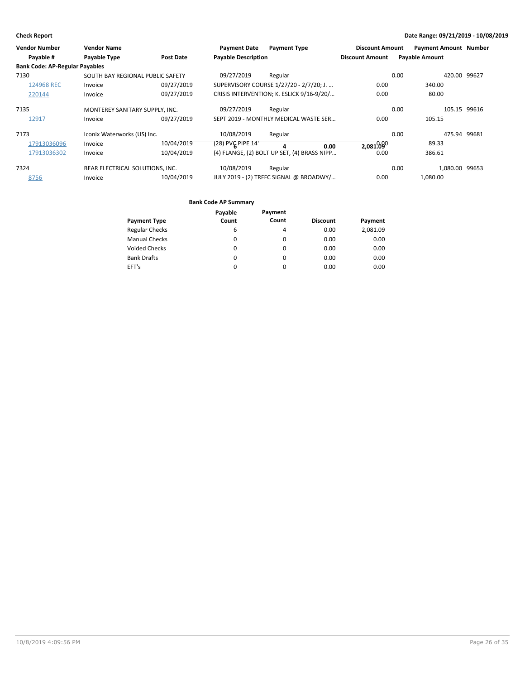| <b>Vendor Number</b>                  | <b>Vendor Name</b>               |                  | <b>Payment Date</b>        | <b>Payment Type</b>                         | <b>Discount Amount</b> | <b>Payment Amount Number</b> |              |
|---------------------------------------|----------------------------------|------------------|----------------------------|---------------------------------------------|------------------------|------------------------------|--------------|
| Payable #                             | Payable Type                     | <b>Post Date</b> | <b>Payable Description</b> |                                             | <b>Discount Amount</b> | <b>Payable Amount</b>        |              |
| <b>Bank Code: AP-Regular Payables</b> |                                  |                  |                            |                                             |                        |                              |              |
| 7130                                  | SOUTH BAY REGIONAL PUBLIC SAFETY |                  | 09/27/2019                 | Regular                                     |                        | 0.00                         | 420.00 99627 |
| 124968 REC                            | Invoice                          | 09/27/2019       |                            | SUPERVISORY COURSE 1/27/20 - 2/7/20; J.     | 0.00                   | 340.00                       |              |
| 220144                                | Invoice                          | 09/27/2019       |                            | CRISIS INTERVENTION; K. ESLICK 9/16-9/20/   | 0.00                   | 80.00                        |              |
| 7135                                  | MONTEREY SANITARY SUPPLY, INC.   |                  | 09/27/2019                 | Regular                                     |                        | 0.00                         | 105.15 99616 |
| 12917                                 | Invoice                          | 09/27/2019       |                            | SEPT 2019 - MONTHLY MEDICAL WASTE SER       | 0.00                   | 105.15                       |              |
| 7173                                  | Iconix Waterworks (US) Inc.      |                  | 10/08/2019                 | Regular                                     |                        | 0.00                         | 475.94 99681 |
| 17913036096                           | Invoice                          | 10/04/2019       | $(28)$ PVC PIPE 14'        | 4<br>0.00                                   | 2,081.090              | 89.33                        |              |
| 17913036302                           | Invoice                          | 10/04/2019       |                            | (4) FLANGE, (2) BOLT UP SET, (4) BRASS NIPP | 0.00                   | 386.61                       |              |
| 7324                                  | BEAR ELECTRICAL SOLUTIONS, INC.  |                  | 10/08/2019                 | Regular                                     |                        | 0.00<br>1,080.00 99653       |              |
| 8756                                  | Invoice                          | 10/04/2019       |                            | JULY 2019 - (2) TRFFC SIGNAL @ BROADWY/     | 0.00                   | 1,080.00                     |              |

|                       | Payable | Payment  |                 |          |
|-----------------------|---------|----------|-----------------|----------|
| <b>Payment Type</b>   | Count   | Count    | <b>Discount</b> | Payment  |
| <b>Regular Checks</b> | 6       | 4        | 0.00            | 2,081.09 |
| <b>Manual Checks</b>  | 0       | 0        | 0.00            | 0.00     |
| <b>Voided Checks</b>  | 0       | 0        | 0.00            | 0.00     |
| <b>Bank Drafts</b>    | 0       | $\Omega$ | 0.00            | 0.00     |
| EFT's                 | 0       | 0        | 0.00            | 0.00     |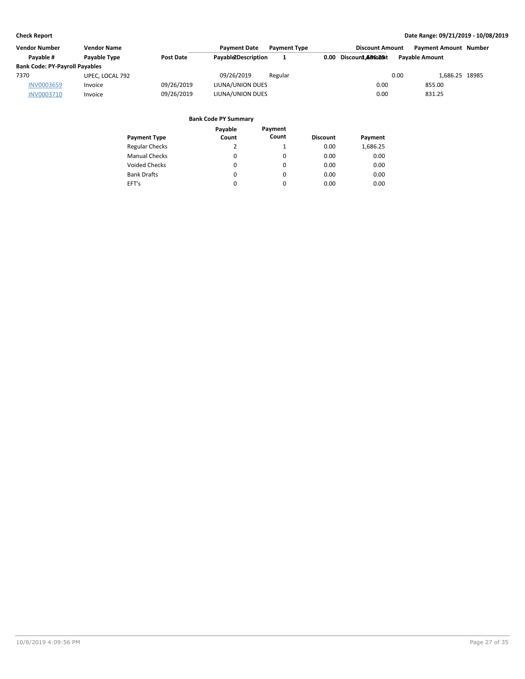| <b>Vendor Number</b>                  | <b>Vendor Name</b>  |                  | <b>Payment Date</b> | <b>Payment Type</b> | <b>Discount Amount</b>             | <b>Payment Amount Number</b> |  |
|---------------------------------------|---------------------|------------------|---------------------|---------------------|------------------------------------|------------------------------|--|
| Pavable #                             | <b>Pavable Type</b> | <b>Post Date</b> | Payable2Description | л.                  | 0.00<br>Discoun <b>1.686025</b> it | <b>Payable Amount</b>        |  |
| <b>Bank Code: PY-Payroll Payables</b> |                     |                  |                     |                     |                                    |                              |  |
| 7370                                  | UPEC, LOCAL 792     |                  | 09/26/2019          | Regular             |                                    | 0.00<br>1.686.25 18985       |  |
| <b>INV0003659</b>                     | Invoice             | 09/26/2019       | LIUNA/UNION DUES    |                     | 0.00                               | 855.00                       |  |
| <b>INV0003710</b>                     | Invoice             | 09/26/2019       | LIUNA/UNION DUES    |                     | 0.00                               | 831.25                       |  |

|                       | Payable | Payment  |                 |          |
|-----------------------|---------|----------|-----------------|----------|
| <b>Payment Type</b>   | Count   | Count    | <b>Discount</b> | Payment  |
| <b>Regular Checks</b> | 2       | 1        | 0.00            | 1,686.25 |
| <b>Manual Checks</b>  | 0       | $\Omega$ | 0.00            | 0.00     |
| <b>Voided Checks</b>  | 0       | $\Omega$ | 0.00            | 0.00     |
| <b>Bank Drafts</b>    | 0       | $\Omega$ | 0.00            | 0.00     |
| EFT's                 | 0       | $\Omega$ | 0.00            | 0.00     |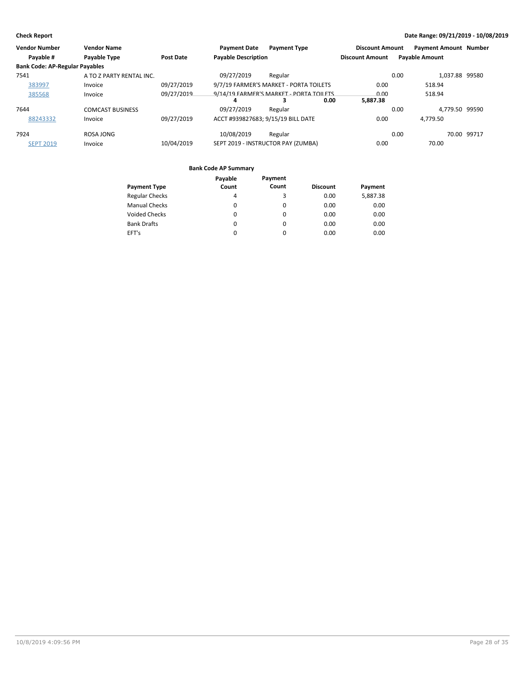| <b>Vendor Number</b>                  | <b>Vendor Name</b>       |                  | <b>Payment Date</b>                | <b>Payment Type</b>                             | <b>Discount Amount</b> | <b>Payment Amount Number</b> |             |
|---------------------------------------|--------------------------|------------------|------------------------------------|-------------------------------------------------|------------------------|------------------------------|-------------|
| Payable #                             | Payable Type             | <b>Post Date</b> | <b>Payable Description</b>         |                                                 | <b>Discount Amount</b> | <b>Payable Amount</b>        |             |
| <b>Bank Code: AP-Regular Payables</b> |                          |                  |                                    |                                                 |                        |                              |             |
| 7541                                  | A TO Z PARTY RENTAL INC. |                  | 09/27/2019                         | Regular                                         |                        | 1.037.88 99580<br>0.00       |             |
| 383997                                | Invoice                  | 09/27/2019       |                                    | 9/7/19 FARMER'S MARKET - PORTA TOILETS          | 0.00                   | 518.94                       |             |
| 385568                                | Invoice                  | 09/27/2019       | 4                                  | 9/14/19 FARMER'S MARKET - PORTA TOILETS<br>0.00 | 0.00<br>5.887.38       | 518.94                       |             |
| 7644                                  | <b>COMCAST BUSINESS</b>  |                  | 09/27/2019                         | Regular                                         |                        | 4,779.50 99590<br>0.00       |             |
| 88243332                              | Invoice                  | 09/27/2019       | ACCT #939827683; 9/15/19 BILL DATE |                                                 | 0.00                   | 4.779.50                     |             |
| 7924                                  | ROSA JONG                |                  | 10/08/2019                         | Regular                                         |                        | 0.00                         | 70.00 99717 |
| <b>SEPT 2019</b>                      | Invoice                  | 10/04/2019       |                                    | SEPT 2019 - INSTRUCTOR PAY (ZUMBA)              | 0.00                   | 70.00                        |             |

|                       | Payable | Payment  |                 |          |
|-----------------------|---------|----------|-----------------|----------|
| <b>Payment Type</b>   | Count   | Count    | <b>Discount</b> | Payment  |
| <b>Regular Checks</b> | 4       | 3        | 0.00            | 5,887.38 |
| <b>Manual Checks</b>  | 0       | 0        | 0.00            | 0.00     |
| <b>Voided Checks</b>  | 0       | $\Omega$ | 0.00            | 0.00     |
| <b>Bank Drafts</b>    | 0       | $\Omega$ | 0.00            | 0.00     |
| EFT's                 | 0       | 0        | 0.00            | 0.00     |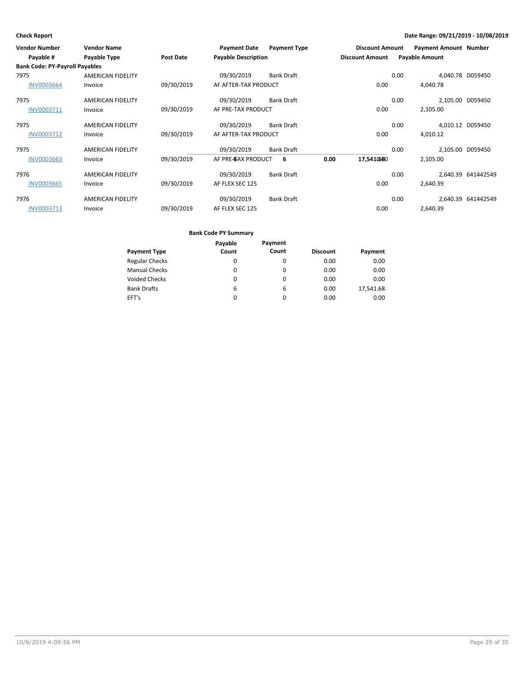| <b>Vendor Number</b><br>Payable #     | <b>Vendor Name</b><br><b>Payable Type</b> | <b>Post Date</b> | <b>Payment Date</b><br><b>Payable Description</b> | <b>Payment Type</b> |      | <b>Discount Amount</b><br><b>Discount Amount</b> |      | <b>Payment Amount Number</b><br><b>Payable Amount</b> |                    |
|---------------------------------------|-------------------------------------------|------------------|---------------------------------------------------|---------------------|------|--------------------------------------------------|------|-------------------------------------------------------|--------------------|
| <b>Bank Code: PY-Payroll Payables</b> |                                           |                  |                                                   |                     |      |                                                  |      |                                                       |                    |
| 7975                                  | <b>AMERICAN FIDELITY</b>                  |                  | 09/30/2019                                        | <b>Bank Draft</b>   |      |                                                  | 0.00 | 4,040.78 D059450                                      |                    |
| <b>INV0003664</b>                     | Invoice                                   | 09/30/2019       | AF AFTER-TAX PRODUCT                              |                     |      | 0.00                                             |      | 4,040.78                                              |                    |
| 7975                                  | <b>AMERICAN FIDELITY</b>                  |                  | 09/30/2019                                        | <b>Bank Draft</b>   |      |                                                  | 0.00 | 2,105.00 D059450                                      |                    |
| INV0003711                            | Invoice                                   | 09/30/2019       | AF PRE-TAX PRODUCT                                |                     |      | 0.00                                             |      | 2,105.00                                              |                    |
| 7975                                  | <b>AMERICAN FIDELITY</b>                  |                  | 09/30/2019                                        | <b>Bank Draft</b>   |      |                                                  | 0.00 | 4,010.12 D059450                                      |                    |
| INV0003712                            | Invoice                                   | 09/30/2019       | AF AFTER-TAX PRODUCT                              |                     |      | 0.00                                             |      | 4.010.12                                              |                    |
| 7975                                  | <b>AMERICAN FIDELITY</b>                  |                  | 09/30/2019                                        | <b>Bank Draft</b>   |      |                                                  | 0.00 | 2,105.00 D059450                                      |                    |
| <b>INV0003663</b>                     | Invoice                                   | 09/30/2019       | AF PRE-GAX PRODUCT                                | -6                  | 0.00 | 17,5410680                                       |      | 2,105.00                                              |                    |
| 7976                                  | <b>AMERICAN FIDELITY</b>                  |                  | 09/30/2019                                        | <b>Bank Draft</b>   |      |                                                  | 0.00 |                                                       | 2,640.39 641442549 |
| <b>INV0003665</b>                     | Invoice                                   | 09/30/2019       | AF FLEX SEC 125                                   |                     |      | 0.00                                             |      | 2,640.39                                              |                    |
| 7976                                  | <b>AMERICAN FIDELITY</b>                  |                  | 09/30/2019                                        | <b>Bank Draft</b>   |      |                                                  | 0.00 |                                                       | 2,640.39 641442549 |
| INV0003713                            | Invoice                                   | 09/30/2019       | AF FLEX SEC 125                                   |                     |      | 0.00                                             |      | 2,640.39                                              |                    |

|                       | Payable | Payment  |                 |           |
|-----------------------|---------|----------|-----------------|-----------|
| <b>Payment Type</b>   | Count   | Count    | <b>Discount</b> | Payment   |
| <b>Regular Checks</b> | 0       | 0        | 0.00            | 0.00      |
| <b>Manual Checks</b>  | 0       | $\Omega$ | 0.00            | 0.00      |
| <b>Voided Checks</b>  | 0       | $\Omega$ | 0.00            | 0.00      |
| <b>Bank Drafts</b>    | 6       | 6        | 0.00            | 17,541.68 |
| EFT's                 | 0       | 0        | 0.00            | 0.00      |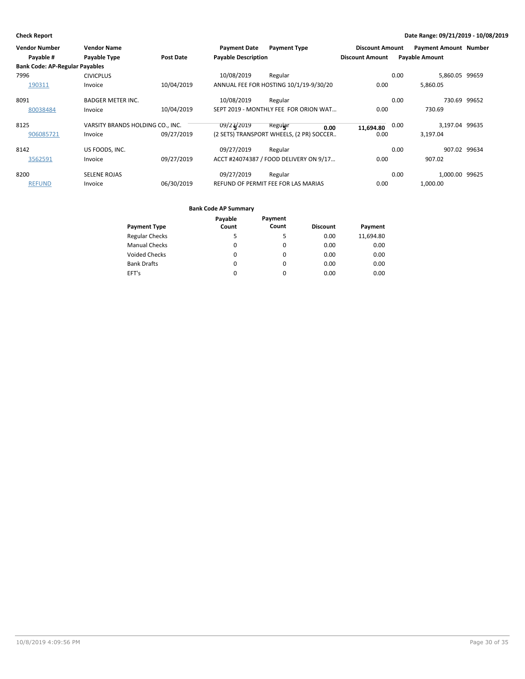| <b>Vendor Number</b>                  | <b>Vendor Name</b>               |                  | <b>Payment Date</b>        | <b>Payment Type</b>                      | <b>Discount Amount</b> | <b>Payment Amount Number</b> |              |
|---------------------------------------|----------------------------------|------------------|----------------------------|------------------------------------------|------------------------|------------------------------|--------------|
| Payable #                             | Payable Type                     | <b>Post Date</b> | <b>Payable Description</b> |                                          | <b>Discount Amount</b> | <b>Payable Amount</b>        |              |
| <b>Bank Code: AP-Regular Payables</b> |                                  |                  |                            |                                          |                        |                              |              |
| 7996                                  | <b>CIVICPLUS</b>                 |                  | 10/08/2019                 | Regular                                  |                        | 5,860.05 99659<br>0.00       |              |
| 190311                                | Invoice                          | 10/04/2019       |                            | ANNUAL FEE FOR HOSTING 10/1/19-9/30/20   | 0.00                   | 5,860.05                     |              |
| 8091                                  | <b>BADGER METER INC.</b>         |                  | 10/08/2019                 | Regular                                  |                        | 0.00                         | 730.69 99652 |
| 80038484                              | Invoice                          | 10/04/2019       |                            | SEPT 2019 - MONTHLY FEE FOR ORION WAT    | 0.00                   | 730.69                       |              |
| 8125                                  | VARSITY BRANDS HOLDING CO., INC. |                  | 09/24/2019                 | Regular<br>0.00                          | 11,694.80              | 3,197.04 99635<br>0.00       |              |
| 906085721                             | Invoice                          | 09/27/2019       |                            | (2 SETS) TRANSPORT WHEELS, (2 PR) SOCCER | 0.00                   | 3,197.04                     |              |
| 8142                                  | US FOODS, INC.                   |                  | 09/27/2019                 | Regular                                  |                        | 0.00                         | 907.02 99634 |
| 3562591                               | Invoice                          | 09/27/2019       |                            | ACCT #24074387 / FOOD DELIVERY ON 9/17   | 0.00                   | 907.02                       |              |
| 8200                                  | <b>SELENE ROJAS</b>              |                  | 09/27/2019                 | Regular                                  |                        | 1,000.00 99625<br>0.00       |              |
| <b>REFUND</b>                         | Invoice                          | 06/30/2019       |                            | REFUND OF PERMIT FEE FOR LAS MARIAS      | 0.00                   | 1,000.00                     |              |

|                       | Payable | Payment |                 |           |
|-----------------------|---------|---------|-----------------|-----------|
| <b>Payment Type</b>   | Count   | Count   | <b>Discount</b> | Payment   |
| <b>Regular Checks</b> | 5       | 5       | 0.00            | 11.694.80 |
| <b>Manual Checks</b>  | 0       | 0       | 0.00            | 0.00      |
| <b>Voided Checks</b>  | 0       | 0       | 0.00            | 0.00      |
| <b>Bank Drafts</b>    | 0       | 0       | 0.00            | 0.00      |
| EFT's                 | 0       | 0       | 0.00            | 0.00      |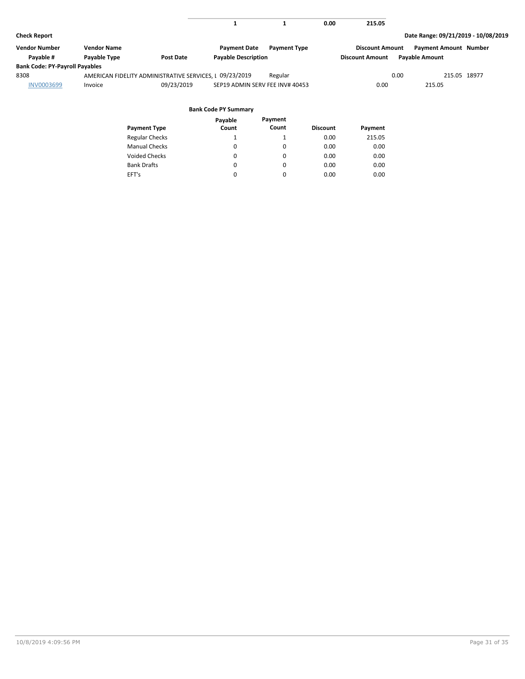|                                       |                    |                                                         | л.                              |                     | 0.00 | 215.05                 |                                     |  |
|---------------------------------------|--------------------|---------------------------------------------------------|---------------------------------|---------------------|------|------------------------|-------------------------------------|--|
| <b>Check Report</b>                   |                    |                                                         |                                 |                     |      |                        | Date Range: 09/21/2019 - 10/08/2019 |  |
| <b>Vendor Number</b>                  | <b>Vendor Name</b> |                                                         | <b>Payment Date</b>             | <b>Payment Type</b> |      | <b>Discount Amount</b> | <b>Payment Amount Number</b>        |  |
| Payable #                             | Payable Type       | Post Date                                               | <b>Payable Description</b>      |                     |      | <b>Discount Amount</b> | <b>Payable Amount</b>               |  |
| <b>Bank Code: PY-Payroll Payables</b> |                    |                                                         |                                 |                     |      |                        |                                     |  |
| 8308                                  |                    | AMERICAN FIDELITY ADMINISTRATIVE SERVICES, I 09/23/2019 |                                 | Regular             |      | 0.00                   | 215.05 18977                        |  |
| <b>INV0003699</b>                     | Invoice            | 09/23/2019                                              | SEP19 ADMIN SERV FEE INV# 40453 |                     |      | 0.00                   | 215.05                              |  |
|                                       |                    |                                                         |                                 |                     |      |                        |                                     |  |
|                                       |                    |                                                         | <b>Bank Code PY Summary</b>     |                     |      |                        |                                     |  |
|                                       |                    |                                                         | <b>Description</b>              | <b>Dougant</b>      |      |                        |                                     |  |

|                       | Payable  | Payment  |                 |         |
|-----------------------|----------|----------|-----------------|---------|
| <b>Payment Type</b>   | Count    | Count    | <b>Discount</b> | Payment |
| <b>Regular Checks</b> |          | 1        | 0.00            | 215.05  |
| <b>Manual Checks</b>  | $\Omega$ | 0        | 0.00            | 0.00    |
| <b>Voided Checks</b>  | 0        | $\Omega$ | 0.00            | 0.00    |
| <b>Bank Drafts</b>    | 0        | $\Omega$ | 0.00            | 0.00    |
| EFT's                 | 0        | $\Omega$ | 0.00            | 0.00    |
|                       |          |          |                 |         |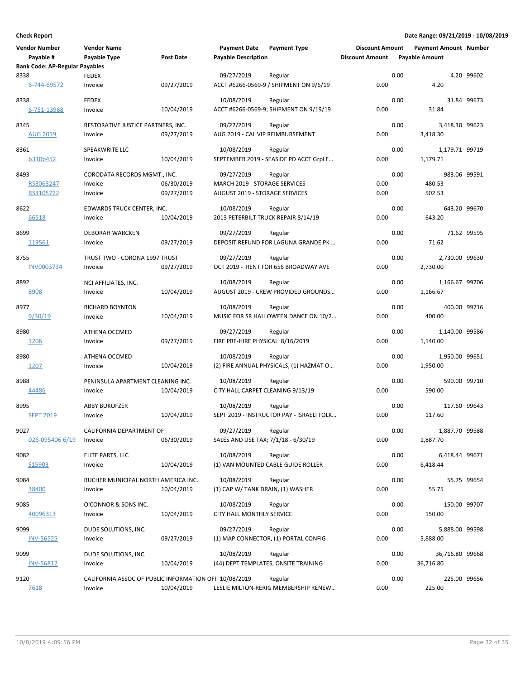| <b>Vendor Number</b>                  | <b>Vendor Name</b>                                    |            | <b>Payment Date</b>                 | <b>Payment Type</b>                               | <b>Discount Amount</b> |      | <b>Payment Amount Number</b> |             |
|---------------------------------------|-------------------------------------------------------|------------|-------------------------------------|---------------------------------------------------|------------------------|------|------------------------------|-------------|
| Payable #                             | Payable Type                                          | Post Date  | <b>Payable Description</b>          |                                                   | <b>Discount Amount</b> |      | <b>Payable Amount</b>        |             |
| <b>Bank Code: AP-Regular Payables</b> |                                                       |            |                                     |                                                   |                        |      |                              | 4.20 99602  |
| 8338<br>6-744-69572                   | <b>FEDEX</b><br>Invoice                               | 09/27/2019 | 09/27/2019                          | Regular<br>ACCT #6266-0569-9 / SHIPMENT ON 9/6/19 | 0.00                   | 0.00 | 4.20                         |             |
| 8338                                  | <b>FEDEX</b>                                          |            | 10/08/2019                          | Regular                                           |                        | 0.00 |                              | 31.84 99673 |
| 6-751-13968                           | Invoice                                               | 10/04/2019 |                                     | ACCT #6266-0569-9; SHIPMENT ON 9/19/19            | 0.00                   |      | 31.84                        |             |
| 8345                                  | RESTORATIVE JUSTICE PARTNERS, INC.                    |            | 09/27/2019                          | Regular                                           |                        | 0.00 | 3,418.30 99623               |             |
| <b>AUG 2019</b>                       | Invoice                                               | 09/27/2019 | AUG 2019 - CAL VIP REIMBURSEMENT    |                                                   | 0.00                   |      | 3,418.30                     |             |
| 8361                                  | SPEAKWRITE LLC                                        |            | 10/08/2019                          | Regular                                           |                        | 0.00 | 1,179.71 99719               |             |
| b310b452                              | Invoice                                               | 10/04/2019 |                                     | SEPTEMBER 2019 - SEASIDE PD ACCT GrpLE            | 0.00                   |      | 1,179.71                     |             |
| 8493                                  | CORODATA RECORDS MGMT., INC.                          |            | 09/27/2019                          | Regular                                           |                        | 0.00 | 983.06 99591                 |             |
| RS3063247                             | Invoice                                               | 06/30/2019 | MARCH 2019 - STORAGE SERVICES       |                                                   | 0.00                   |      | 480.53                       |             |
| RS3105722                             | Invoice                                               | 09/27/2019 | AUGUST 2019 - STORAGE SERVICES      |                                                   | 0.00                   |      | 502.53                       |             |
| 8622                                  | EDWARDS TRUCK CENTER, INC.                            |            | 10/08/2019                          | Regular                                           |                        | 0.00 | 643.20 99670                 |             |
| 66518                                 | Invoice                                               | 10/04/2019 | 2013 PETERBILT TRUCK REPAIR 8/14/19 |                                                   | 0.00                   |      | 643.20                       |             |
| 8699                                  | <b>DEBORAH WARCKEN</b>                                |            | 09/27/2019                          | Regular                                           |                        | 0.00 |                              | 71.62 99595 |
| 119561                                | Invoice                                               | 09/27/2019 |                                     | DEPOSIT REFUND FOR LAGUNA GRANDE PK               | 0.00                   |      | 71.62                        |             |
| 8755                                  | TRUST TWO - CORONA 1997 TRUST                         |            | 09/27/2019                          | Regular                                           |                        | 0.00 | 2,730.00 99630               |             |
| <b>INV0003734</b>                     | Invoice                                               | 09/27/2019 |                                     | OCT 2019 - RENT FOR 656 BROADWAY AVE              | 0.00                   |      | 2,730.00                     |             |
| 8892                                  | NCI AFFILIATES, INC.                                  |            | 10/08/2019                          | Regular                                           |                        | 0.00 | 1,166.67 99706               |             |
| 8908                                  | Invoice                                               | 10/04/2019 |                                     | AUGUST 2019 - CREW PROVIDED GROUNDS               | 0.00                   |      | 1,166.67                     |             |
| 8977                                  | <b>RICHARD BOYNTON</b>                                |            | 10/08/2019                          | Regular                                           |                        | 0.00 | 400.00 99716                 |             |
| 9/30/19                               | Invoice                                               | 10/04/2019 |                                     | MUSIC FOR SR HALLOWEEN DANCE ON 10/2              | 0.00                   |      | 400.00                       |             |
| 8980                                  | ATHENA OCCMED                                         |            | 09/27/2019                          | Regular                                           |                        | 0.00 | 1,140.00 99586               |             |
| 1206                                  | Invoice                                               | 09/27/2019 | FIRE PRE-HIRE PHYSICAL 8/16/2019    |                                                   | 0.00                   |      | 1,140.00                     |             |
| 8980                                  | <b>ATHENA OCCMED</b>                                  |            | 10/08/2019                          | Regular                                           |                        | 0.00 | 1,950.00 99651               |             |
| 1207                                  | Invoice                                               | 10/04/2019 |                                     | (2) FIRE ANNUAL PHYSICALS, (1) HAZMAT O           | 0.00                   |      | 1,950.00                     |             |
| 8988                                  | PENINSULA APARTMENT CLEANING INC.                     |            | 10/08/2019                          | Regular                                           |                        | 0.00 | 590.00 99710                 |             |
| 44486                                 | Invoice                                               | 10/04/2019 | CITY HALL CARPET CLEANING 9/13/19   |                                                   | 0.00                   |      | 590.00                       |             |
| 8995                                  | <b>ABBY BUKOFZER</b>                                  |            | 10/08/2019                          | Regular                                           |                        | 0.00 | 117.60 99643                 |             |
| <b>SEPT 2019</b>                      | Invoice                                               | 10/04/2019 |                                     | SEPT 2019 - INSTRUCTOR PAY - ISRAELI FOLK         | 0.00                   |      | 117.60                       |             |
| 9027                                  | CALIFORNIA DEPARTMENT OF                              |            | 09/27/2019                          | Regular                                           |                        | 0.00 | 1,887.70 99588               |             |
| 026-095406 6/19                       | Invoice                                               | 06/30/2019 | SALES AND USE TAX; 7/1/18 - 6/30/19 |                                                   | 0.00                   |      | 1,887.70                     |             |
| 9082                                  | ELITE PARTS, LLC                                      |            | 10/08/2019                          | Regular                                           |                        | 0.00 | 6,418.44 99671               |             |
| S15903                                | Invoice                                               | 10/04/2019 |                                     | (1) VAN MOUNTED CABLE GUIDE ROLLER                | 0.00                   |      | 6,418.44                     |             |
| 9084                                  | BUCHER MUNICIPAL NORTH AMERICA INC.                   |            | 10/08/2019                          | Regular                                           |                        | 0.00 |                              | 55.75 99654 |
| 38400                                 | Invoice                                               | 10/04/2019 | (1) CAP W/ TANK DRAIN, (1) WASHER   |                                                   | 0.00                   |      | 55.75                        |             |
| 9085                                  | O'CONNOR & SONS INC.                                  |            | 10/08/2019                          | Regular                                           |                        | 0.00 | 150.00 99707                 |             |
| 40096313                              | Invoice                                               | 10/04/2019 | CITY HALL MONTHLY SERVICE           |                                                   | 0.00                   |      | 150.00                       |             |
| 9099                                  | DUDE SOLUTIONS, INC.                                  |            | 09/27/2019                          | Regular                                           |                        | 0.00 | 5,888.00 99598               |             |
| <b>INV-56525</b>                      | Invoice                                               | 09/27/2019 |                                     | (1) MAP CONNECTOR, (1) PORTAL CONFIG              | 0.00                   |      | 5,888.00                     |             |
| 9099                                  | DUDE SOLUTIONS, INC.                                  |            | 10/08/2019                          | Regular                                           |                        | 0.00 | 36,716.80 99668              |             |
| <b>INV-56812</b>                      | Invoice                                               | 10/04/2019 |                                     | (44) DEPT TEMPLATES, ONSITE TRAINING              | 0.00                   |      | 36,716.80                    |             |
| 9120                                  | CALIFORNIA ASSOC OF PUBLIC INFORMATION OFI 10/08/2019 |            |                                     | Regular                                           |                        | 0.00 | 225.00 99656                 |             |
| 7618                                  | Invoice                                               | 10/04/2019 |                                     | LESLIE MILTON-RERIG MEMBERSHIP RENEW              | 0.00                   |      | 225.00                       |             |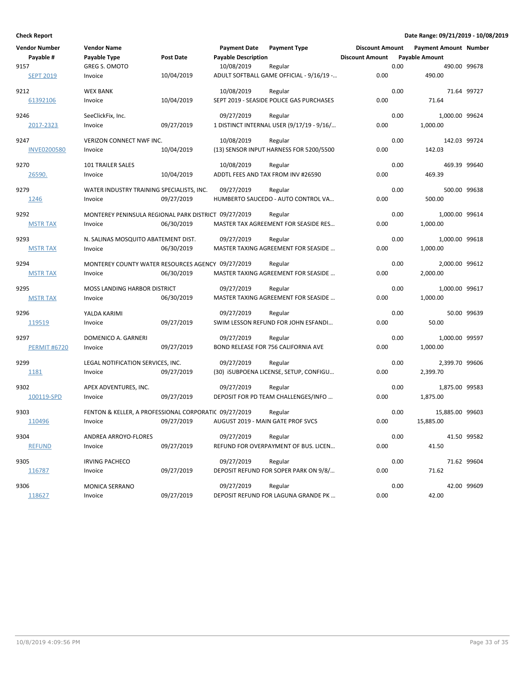| Vendor Number       | <b>Vendor Name</b>                                    | <b>Payment Date</b><br><b>Payment Type</b> | <b>Discount Amount</b> | <b>Payment Amount Number</b> |              |
|---------------------|-------------------------------------------------------|--------------------------------------------|------------------------|------------------------------|--------------|
| Payable #           | <b>Payable Type</b><br><b>Post Date</b>               | <b>Payable Description</b>                 | <b>Discount Amount</b> | <b>Payable Amount</b>        |              |
| 9157                | <b>GREG S. OMOTO</b>                                  | 10/08/2019<br>Regular                      |                        | 0.00                         | 490.00 99678 |
| <b>SEPT 2019</b>    | 10/04/2019<br>Invoice                                 | ADULT SOFTBALL GAME OFFICIAL - 9/16/19 -   | 0.00                   | 490.00                       |              |
| 9212                | <b>WEX BANK</b>                                       | 10/08/2019<br>Regular                      |                        | 0.00                         | 71.64 99727  |
| 61392106            | 10/04/2019<br>Invoice                                 | SEPT 2019 - SEASIDE POLICE GAS PURCHASES   | 0.00                   | 71.64                        |              |
| 9246                | SeeClickFix, Inc.                                     | 09/27/2019<br>Regular                      |                        | 0.00<br>1,000.00 99624       |              |
| 2017-2323           | 09/27/2019<br>Invoice                                 | 1 DISTINCT INTERNAL USER (9/17/19 - 9/16/  | 0.00                   | 1,000.00                     |              |
| 9247                | VERIZON CONNECT NWF INC.                              | 10/08/2019<br>Regular                      |                        | 0.00<br>142.03 99724         |              |
| <b>INVE0200580</b>  | 10/04/2019<br>Invoice                                 | (13) SENSOR INPUT HARNESS FOR 5200/5500    | 0.00                   | 142.03                       |              |
| 9270                | 101 TRAILER SALES                                     | 10/08/2019<br>Regular                      |                        | 0.00                         | 469.39 99640 |
| 26590.              | 10/04/2019<br>Invoice                                 | ADDTL FEES AND TAX FROM INV #26590         | 0.00                   | 469.39                       |              |
| 9279                | WATER INDUSTRY TRAINING SPECIALISTS, INC.             | 09/27/2019<br>Regular                      |                        | 0.00                         | 500.00 99638 |
| 1246                | 09/27/2019<br>Invoice                                 | HUMBERTO SAUCEDO - AUTO CONTROL VA         | 0.00                   | 500.00                       |              |
| 9292                | MONTEREY PENINSULA REGIONAL PARK DISTRICT 09/27/2019  | Regular                                    |                        | 0.00<br>1,000.00 99614       |              |
| <b>MSTR TAX</b>     | 06/30/2019<br>Invoice                                 | MASTER TAX AGREEMENT FOR SEASIDE RES       | 0.00                   | 1,000.00                     |              |
| 9293                | N. SALINAS MOSQUITO ABATEMENT DIST.                   | 09/27/2019<br>Regular                      |                        | 0.00<br>1,000.00 99618       |              |
| <b>MSTR TAX</b>     | 06/30/2019<br>Invoice                                 | MASTER TAXING AGREEMENT FOR SEASIDE        | 0.00                   | 1,000.00                     |              |
| 9294                | MONTEREY COUNTY WATER RESOURCES AGENCY 09/27/2019     | Regular                                    |                        | 0.00<br>2,000.00 99612       |              |
| <b>MSTR TAX</b>     | 06/30/2019<br>Invoice                                 | MASTER TAXING AGREEMENT FOR SEASIDE        | 0.00                   | 2,000.00                     |              |
| 9295                | MOSS LANDING HARBOR DISTRICT                          | 09/27/2019<br>Regular                      |                        | 0.00<br>1,000.00 99617       |              |
| <b>MSTR TAX</b>     | 06/30/2019<br>Invoice                                 | MASTER TAXING AGREEMENT FOR SEASIDE        | 0.00                   | 1,000.00                     |              |
| 9296                | YALDA KARIMI                                          | 09/27/2019<br>Regular                      |                        | 0.00                         | 50.00 99639  |
| 119519              | 09/27/2019<br>Invoice                                 | SWIM LESSON REFUND FOR JOHN ESFANDI        | 0.00                   | 50.00                        |              |
| 9297                | DOMENICO A. GARNERI                                   | 09/27/2019<br>Regular                      |                        | 0.00<br>1,000.00 99597       |              |
| <b>PERMIT #6720</b> | 09/27/2019<br>Invoice                                 | BOND RELEASE FOR 756 CALIFORNIA AVE        | 0.00                   | 1,000.00                     |              |
| 9299                | LEGAL NOTIFICATION SERVICES, INC.                     | 09/27/2019<br>Regular                      |                        | 0.00<br>2,399.70 99606       |              |
| 1181                | 09/27/2019<br>Invoice                                 | (30) ISUBPOENA LICENSE, SETUP, CONFIGU     | 0.00                   | 2,399.70                     |              |
| 9302                | APEX ADVENTURES, INC.                                 | 09/27/2019<br>Regular                      |                        | 0.00<br>1,875.00 99583       |              |
| 100119-SPD          | 09/27/2019<br>Invoice                                 | DEPOSIT FOR PD TEAM CHALLENGES/INFO        | 0.00                   | 1,875.00                     |              |
| 9303                | FENTON & KELLER, A PROFESSIONAL CORPORATIC 09/27/2019 | Regular                                    |                        | 0.00<br>15,885.00 99603      |              |
| 110496              | 09/27/2019<br>Invoice                                 | AUGUST 2019 - MAIN GATE PROF SVCS          | 0.00                   | 15,885.00                    |              |
| 9304                | ANDREA ARROYO-FLORES                                  | 09/27/2019<br>Regular                      |                        | 0.00                         | 41.50 99582  |
| <b>REFUND</b>       | 09/27/2019<br>Invoice                                 | REFUND FOR OVERPAYMENT OF BUS. LICEN       | 0.00                   | 41.50                        |              |
| 9305                | <b>IRVING PACHECO</b>                                 | 09/27/2019<br>Regular                      |                        | 0.00                         | 71.62 99604  |
| 116787              | 09/27/2019<br>Invoice                                 | DEPOSIT REFUND FOR SOPER PARK ON 9/8/      | 0.00                   | 71.62                        |              |
| 9306                | <b>MONICA SERRANO</b>                                 | 09/27/2019<br>Regular                      |                        | 0.00                         | 42.00 99609  |
| 118627              | 09/27/2019<br>Invoice                                 | DEPOSIT REFUND FOR LAGUNA GRANDE PK        | 0.00                   | 42.00                        |              |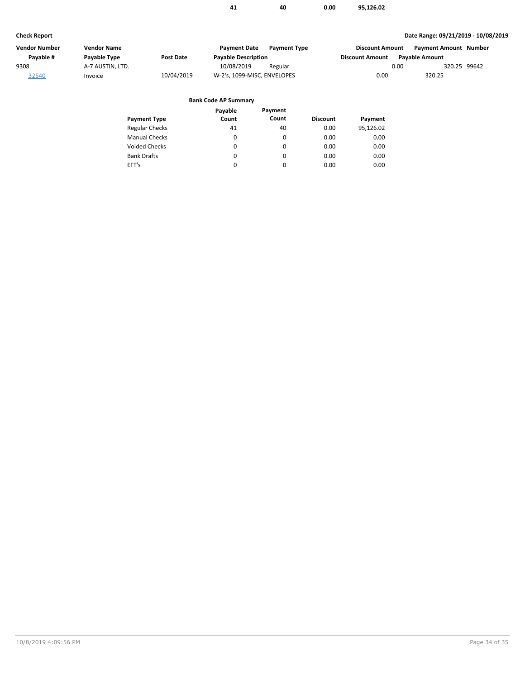|  | ი იი | 95.126.02 |
|--|------|-----------|

| Date Range: 09/21/2019 - 10/08/2019<br><b>Check Report</b> |                    |            |                             |                     |                        |                              |              |
|------------------------------------------------------------|--------------------|------------|-----------------------------|---------------------|------------------------|------------------------------|--------------|
| <b>Vendor Number</b>                                       | <b>Vendor Name</b> |            | <b>Payment Date</b>         | <b>Payment Type</b> | <b>Discount Amount</b> | <b>Payment Amount Number</b> |              |
| Pavable #                                                  | Payable Type       | Post Date  | <b>Payable Description</b>  |                     | <b>Discount Amount</b> | <b>Pavable Amount</b>        |              |
| 9308                                                       | A-7 AUSTIN, LTD.   |            | 10/08/2019                  | Regular             |                        | 0.00                         | 320.25 99642 |
| 32540                                                      | Invoice            | 10/04/2019 | W-2's, 1099-MISC, ENVELOPES |                     | 0.00                   | 320.25                       |              |

# **Bank Code AP Summary**

 $\overline{\phantom{0}}$ 

|                       | Payable | Payment |                 |           |
|-----------------------|---------|---------|-----------------|-----------|
| <b>Payment Type</b>   | Count   | Count   | <b>Discount</b> | Payment   |
| <b>Regular Checks</b> | 41      | 40      | 0.00            | 95,126.02 |
| <b>Manual Checks</b>  | 0       | 0       | 0.00            | 0.00      |
| <b>Voided Checks</b>  | 0       | 0       | 0.00            | 0.00      |
| <b>Bank Drafts</b>    | 0       | 0       | 0.00            | 0.00      |
| EFT's                 | 0       | 0       | 0.00            | 0.00      |